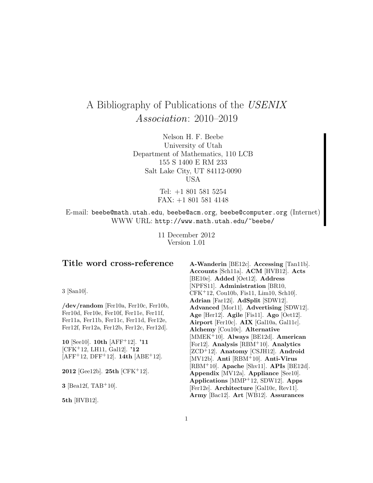# A Bibliography of Publications of the USENIX Association: 2010–2019

Nelson H. F. Beebe University of Utah Department of Mathematics, 110 LCB 155 S 1400 E RM 233 Salt Lake City, UT 84112-0090 USA

> Tel: +1 801 581 5254 FAX: +1 801 581 4148

E-mail: beebe@math.utah.edu, beebe@acm.org, beebe@computer.org (Internet) WWW URL: http://www.math.utah.edu/~beebe/

> 11 December 2012 Version 1.01

# **Title word cross-reference**

3 [San10].

**/dev/random** [Fer10a, Fer10c, Fer10b, Fer10d, Fer10e, Fer10f, Fer11e, Fer11f, Fer11a, Fer11b, Fer11c, Fer11d, Fer12e, Fer12f, Fer12a, Fer12b, Fer12c, Fer12d].

**10** [See10]. **10th** [AFF<sup>+</sup>12]. **'11** [CFK<sup>+</sup>12, LH11, Gal12]. **'12** [AFF<sup>+</sup>12, DFF<sup>+</sup>12]. **14th** [ABE<sup>+</sup>12].

**2012** [Gee12b]. **25th** [CFK<sup>+</sup>12].

**3** [Bea12f, TAB<sup>+</sup>10].

**5th** [HVB12].

**A-Wanderin** [BE12c]. **Accessing** [Tan11b]. **Accounts** [Sch11a]. **ACM** [HVB12]. **Acts** [BE10e]. **Added** [Oet12]. **Address** [NPFS11]. **Administration** [BR10, CFK<sup>+</sup>12, Cou10b, Fis11, Lim10, Sch10]. **Adrian** [Far12i]. **AdSplit** [SDW12]. **Advanced** [Mor11]. **Advertising** [SDW12]. **Age** [Her12]. **Agile** [Fis11]. **Ago** [Oet12]. **Airport** [Fer10c]. **AIX** [Gal10a, Gal11c]. **Alchemy** [Cou10c]. **Alternative** [MMEK<sup>+</sup>10]. **Always** [BE12d]. **American** [For12]. **Analysis** [RBM<sup>+</sup>10]. **Analytics** [ZCD<sup>+</sup>12]. **Anatomy** [CSJH12]. **Android** [MV12b]. **Anti** [RBM<sup>+</sup>10]. **Anti-Virus** [RBM<sup>+</sup>10]. **Apache** [Shv11]. **APIs** [BE12d]. **Appendix** [MV12a]. **Appliance** [See10]. **Applications** [MMP<sup>+</sup>12, SDW12]. **Apps** [Fer12e]. **Architecture** [Gal10c, Rev11]. **Army** [Bac12]. **Art** [WB12]. **Assurances**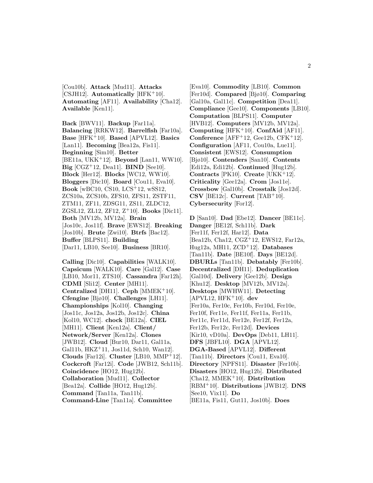[Cou10b]. **Attack** [Mud11]. **Attacks** [CSJH12]. **Automatically** [HFK<sup>+</sup>10]. **Automating** [AF11]. **Availability** [Cha12]. **Available** [Ken11].

**Back** [BWV11]. **Backup** [Far11a]. **Balancing** [RRKW12]. **Barrelfish** [Far10a]. **Base** [HFK<sup>+</sup>10]. **Based** [APVL12]. **Basics** [Lan11]. **Becoming** [Bea12a, Fis11]. **Beginning** [Sim10]. **Better** [BE11a, UKK<sup>+</sup>12]. **Beyond** [Lan11, WW10]. **Big** [CGZ<sup>+</sup>12, Dea11]. **BIND** [See10]. **Block** [Her12]. **Blocks** [WC12, WW10]. **Bloggers** [Dic10]. **Board** [Cou11, Eva10]. **Book** [wBC10, CS10, LCS<sup>+</sup>12, wSS12, ZCS10a, ZCS10b, ZFS10, ZFS11, ZSTF11, ZTM11, ZF11, ZDSG11, ZS11, ZLDC12, ZGSL12, ZL12, ZF12, Z<sup>+</sup>10]. **Books** [Dic11]. **Both** [MV12b, MV12a]. **Brain** [Jos10c, Jos11f]. **Brave** [EWS12]. **Breaking** [Jos10b]. **Brute** [Zwi10]. **Btrfs** [Bac12]. **Buffer** [BLPS11]. **Building** [Dar11, LB10, See10]. **Business** [BR10].

**Calling** [Dic10]. **Capabilities** [WALK10]. **Capsicum** [WALK10]. **Care** [Gal12]. **Case** [LB10, Mor11, ZTS10]. **Cassandra** [Far12h]. **CDMI** [Sli12]. **Center** [MH11]. **Centralized** [DH11]. **Ceph** [MMEK<sup>+</sup>10]. **Cfengine** [Bjø10]. **Challenges** [LH11]. **Championships** [Kol10]. **Changing** [Jos11c, Jos12a, Jos12b, Jos12c]. **China** [Kol10, WC12]. **chock** [BE12a]. **CIEL** [MH11]. **Client** [Ken12a]. **Client/ Network/Server** [Ken12a]. **Clones** [JWB12]. **Cloud** [Bur10, Dar11, Gal11a, Gal11b, HKZ<sup>+</sup>11, Jos11d, Sch10, Wan12]. **Clouds** [Far12i]. **Cluster** [LB10, MMP<sup>+</sup>12]. **Cockcroft** [Far12i]. **Code** [JWB12, Sch11b]. **Coincidence** [HO12, Hug12b]. **Collaboration** [Mud11]. **Collector** [Bea12a]. **Collide** [HO12, Hug12b]. **Command** [Tan11a, Tan11b]. **Command-Line** [Tan11a]. **Committee**

[Eva10]. **Commodity** [LB10]. **Common** [Fer10d]. **Compared** [Bjø10]. **Comparing** [Gal10a, Gal11c]. **Competition** [Dea11]. **Compliance** [Gee10]. **Components** [LB10]. **Computation** [BLPS11]. **Computer** [HVB12]. **Computers** [MV12b, MV12a]. **Computing** [HFK<sup>+</sup>10]. **ConfAid** [AF11]. **Conference** [AFF<sup>+</sup>12, Gee12b, CFK<sup>+</sup>12]. **Configuration** [AF11, Cou10a, Lue11]. **Consistent** [EWS12]. **Consumption** [Bjø10]. **Contenders** [San10]. **Contents** [Edi12a, Edi12b]. **Continued** [Hug12b]. **Contracts** [PK10]. **Create** [UKK<sup>+</sup>12]. **Criticality** [Gee12a]. **Crom** [Jos11e]. **Crossbow** [Gal10b]. **Crosstalk** [Jos12d].  $\text{CSV}$  [BE12c]. **Current** [TAB<sup>+</sup>10]. **Cybersecurity** [For12].

**D** [San10]. **Dad** [Ebe12]. **Dancer** [BE11c]. **Danger** [BE12f, Sch11b]. **Dark** [Fer11f, Fer12f, Har12]. **Data** [Bea12b, Cha12, CGZ<sup>+</sup>12, EWS12, Far12a, Hug12a, MH11, ZCD<sup>+</sup>12]. **Databases** [Tan11b]. **Date** [BE10f]. **Days** [BE12d]. **DBURLs** [Tan11b]. **Debatably** [Fer10b]. **Decentralized** [DH11]. **Deduplication** [Gal10d]. **Delivery** [Gee12b]. **Design** [Khu12]. **Desktop** [MV12b, MV12a]. **Desktops** [MWHW11]. **Detecting** [APVL12, HFK<sup>+</sup>10]. **dev** [Fer10a, Fer10c, Fer10b, Fer10d, Fer10e, Fer10f, Fer11e, Fer11f, Fer11a, Fer11b, Fer11c, Fer11d, Fer12e, Fer12f, Fer12a, Fer12b, Fer12c, Fer12d]. **Devices** [Kir10, vD10a]. **DevOps** [Deb11, LH11]. **DFS** [JBFL10]. **DGA** [APVL12]. **DGA-Based** [APVL12]. **Different** [Tan11b]. **Directors** [Cou11, Eva10]. **Directory** [NPFS11]. **Disaster** [Fer10b]. **Disasters** [HO12, Hug12b]. **Distributed** [Cha12, MMEK<sup>+</sup>10]. **Distribution** [RBM<sup>+</sup>10]. **Distributions** [JWB12]. **DNS** [See10, Vix11]. **Do** [BE11a, Fis11, Gut11, Jos10b]. **Does**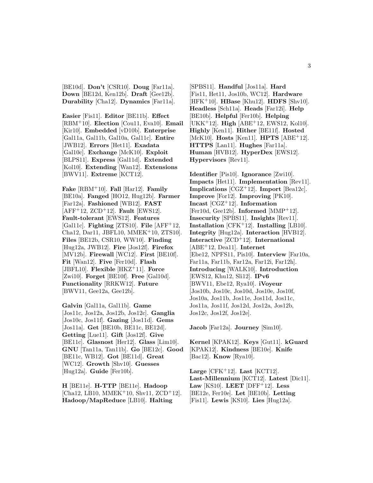[BE10d]. **Don't** [CSR10]. **Doug** [Far11a]. **Down** [BE12d, Ken12b]. **Draft** [Gee12b]. **Durability** [Cha12]. **Dynamics** [Far11a].

**Easier** [Fis11]. **Editor** [BE11b]. **Effect** [RBM<sup>+</sup>10]. **Election** [Cou11, Eva10]. **Email** [Kir10]. **Embedded** [vD10b]. **Enterprise** [Gal11a, Gal11b, Gal10a, Gal11c]. **Entire** [JWB12]. **Errors** [Het11]. **Exadata** [Gal10c]. **Exchange** [McK10]. **Exploit** [BLPS11]. **Express** [Gal11d]. **Extended** [Kol10]. **Extending** [Wan12]. **Extensions** [BWV11]. **Extreme** [KCT12].

**Fake** [RBM<sup>+</sup>10]. **Fall** [Har12]. **Family** [BE10a]. **Fanged** [HO12, Hug12b]. **Farmer** [Far12a]. **Fashioned** [WB12]. **FAST** [AFF<sup>+</sup>12, ZCD<sup>+</sup>12]. **Fault** [EWS12]. **Fault-tolerant** [EWS12]. **Features** [Gal11c]. **Fighting** [ZTS10]. **File** [AFF<sup>+</sup>12, Cha12, Dar11, JBFL10, MMEK<sup>+</sup>10, ZTS10]. **Files** [BE12b, CSR10, WW10]. **Finding** [Hug12a, JWB12]. **Fire** [Jos12f]. **Firefox** [MV12b]. **Firewall** [WC12]. **First** [BE10f]. **Fit** [Wan12]. **Five** [Fer10d]. **Flash** [JBFL10]. **Flexible** [HKZ<sup>+</sup>11]. **Force** [Zwi10]. **Forget** [BE10f]. **Free** [Gal10d]. **Functionality** [RRKW12]. **Future** [BWV11, Gee12a, Gee12b].

**Galvin** [Gal11a, Gal11b]. **Game** [Jos11c, Jos12a, Jos12b, Jos12c]. **Ganglia** [Jos10c, Jos11f]. **Gazing** [Jos11d]. **Gems** [Jos11a]. **Get** [BE10b, BE11c, BE12d]. **Getting** [Lue11]. **Gift** [Jos12f]. **Give** [BE11c]. **Glasnost** [Her12]. **Glass** [Lim10]. **GNU** [Tan11a, Tan11b]. **Go** [BE12c]. **Good** [BE11c, WB12]. **Got** [BE11d]. **Great** [WC12]. **Growth** [Shv10]. **Guesses** [Hug12a]. **Guide** [Fer10b].

**H** [BE11e]. **H-TTP** [BE11e]. **Hadoop**  $[Cha12, LB10, MMEK<sup>+</sup>10, Shv11, ZCD<sup>+</sup>12].$ **Hadoop/MapReduce** [LB10]. **Halting**

[SPBS11]. **Handful** [Jos11a]. **Hard** [Fis11, Het11, Jos10b, WC12]. **Hardware** [HFK<sup>+</sup>10]. **HBase** [Khu12]. **HDFS** [Shv10]. **Headless** [Sch11a]. **Heads** [Far12i]. **Help** [BE10b]. **Helpful** [Fer10b]. **Helping** [UKK<sup>+</sup>12]. **High** [ABE<sup>+</sup>12, EWS12, Kol10]. **Highly** [Ken11]. **Hither** [BE11f]. **Hosted** [McK10]. **Hosts** [Ken11]. **HPTS** [ABE<sup>+</sup>12]. **HTTPS** [Lan11]. **Hughes** [Far11a]. **Human** [HVB12]. **HyperDex** [EWS12]. **Hypervisors** [Rev11].

**Identifier** [Pis10]. **Ignorance** [Zwi10]. **Impacts** [Het11]. **Implementation** [Rev11]. **Implications** [CGZ<sup>+</sup>12]. **Import** [Bea12c]. **Improve** [For12]. **Improving** [PK10]. **Incast** [CGZ<sup>+</sup>12]. **Information** [Fer10d, Gee12b]. **Informed** [MMP<sup>+</sup>12]. **Insecurity** [SPBS11]. **Insights** [Rev11]. **Installation** [CFK<sup>+</sup>12]. **Installing** [LB10]. **Integrity** [Hug12a]. **Interaction** [HVB12]. **Interactive** [ZCD<sup>+</sup>12]. **International** [ABE<sup>+</sup>12, Dea11]. **Internet** [Ebe12, NPFS11, Pis10]. **Interview** [Far10a, Far11a, Far11b, Far12a, Far12i, Far12h]. **Introducing** [WALK10]. **Introduction** [EWS12, Khu12, Sli12]. **IPv6** [BWV11, Ebe12, Rya10]. **iVoyeur** [Jos10b, Jos10c, Jos10d, Jos10e, Jos10f, Jos10a, Jos11b, Jos11e, Jos11d, Jos11c, Jos11a, Jos11f, Jos12d, Jos12a, Jos12b, Jos12c, Jos12f, Jos12e].

**Jacob** [Far12a]. **Journey** [Sim10].

**Kernel** [KPAK12]. **Keys** [Gut11]. **kGuard** [KPAK12]. **Kindness** [BE10e]. **Knife** [Bac12]. **Know** [Rya10].

**Large** [CFK<sup>+</sup>12]. **Last** [KCT12]. **Last-Millennium** [KCT12]. **Latest** [Dic11]. Law  $[KS10]$ . **LEET**  $[DFF+12]$ . **Less** [BE12e, Fer10e]. **Let** [BE10b]. **Letting** [Fis11]. **Lewis** [KS10]. **Lies** [Hug12a].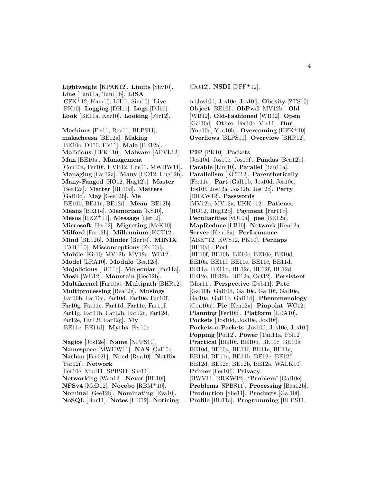**Lightweight** [KPAK12]. **Limits** [Shv10]. **Line** [Tan11a, Tan11b]. **LISA** [CFK<sup>+</sup>12, Kam10, LH11, Sim10]. **Live** [PK10]. **Logging** [DH11]. **Logs** [Dil10]. **Look** [BE11a, Ker10]. **Looking** [For12].

**Machines** [Fis11, Rev11, BLPS11]. **makacheesa** [BE12a]. **Making** [BE10c, Dil10, Fis11]. **Mala** [BE12a]. **Malicious** [HFK<sup>+</sup>10]. **Malware** [APVL12]. **Man** [BE10a]. **Management** [Cou10a, Fer10f, HVB12, Lue11, MWHW11]. **Managing** [Far12a]. **Many** [HO12, Hug12b]. **Many-Fanged** [HO12, Hug12b]. **Master** [Bea12a]. **Matter** [BE10d]. **Matters** [Gal10c]. **May** [Gee12b]. **Me** [BE10b, BE11e, BE12d]. **Mean** [BE12b]. **Means** [BE11e]. **Memoriam** [KS10]. **Mesos** [HKZ<sup>+</sup>11]. **Message** [Her12]. **Microsoft** [Her12]. **Migrating** [McK10]. **Milford** [Far12h]. **Millennium** [KCT12]. **Mind** [BE12b]. **Minder** [Bur10]. **MINIX** [TAB<sup>+</sup>10]. **Misconceptions** [Fer10d]. **Mobile** [Kir10, MV12b, MV12a, WB12]. **Model** [LRA10]. **Module** [Bea12e]. **Mojolicious** [BE11d]. **Molecular** [Far11a]. **Mosh** [WB12]. **Mountain** [Gee12b]. **Multikernel** [Far10a]. **Multipath** [BHR12]. **Multiprocessing** [Bea12e]. **Musings** [Far10b, Far10c, Far10d, Far10e, Far10f, Far10g, Far11c, Far11d, Far11e, Far11f, Far11g, Far11h, Far12b, Far12c, Far12d, Far12e, Far12f, Far12g]. **My** [BE11c, BE11d]. **Myths** [Fer10c].

**Nagios** [Jos12e]. **Name** [NPFS11]. **Namespace** [MWHW11]. **NAS** [Gal10e]. **Nathan** [Far12h]. **Need** [Rya10]. **Netflix** [Far12i]. **Network** [Fer10e, Mud11, SPBS11, She11]. **Networking** [Wan12]. **Never** [BE10f]. **NFSv4** [McD12]. **Nocebo** [RBM<sup>+</sup>10]. **Nominal** [Gee12b]. **Nominating** [Eva10]. **NoSQL** [Bur11]. **Notes** [HD12]. **Noticing** [Oet12]. **NSDI** [DFF<sup>+</sup>12].

**o** [Jos10d, Jos10e, Jos10f]. **Obesity** [ZTS10]. **Object** [BE10f]. **ObPwd** [MV12b]. **Old** [WB12]. **Old-Fashioned** [WB12]. **Open** [Gal10d]. **Other** [Fer10c, Vix11]. **Our** [You10a, You10b]. **Overcoming** [HFK<sup>+</sup>10]. **Overflows** [BLPS11]. **Overview** [BHR12].

**P2P** [PK10]. **Packets** [Jos10d, Jos10e, Jos10f]. **Pandas** [Bea12b]. **Parable** [Lim10]. **Parallel** [Tan11a]. **Parallelism** [KCT12]. **Parenthetically** [Fer11e]. **Part** [Gal11b, Jos10d, Jos10e, Jos10f, Jos12a, Jos12b, Jos12c]. **Party** [RRKW12]. **Passwords** [MV12b, MV12a, UKK<sup>+</sup>12]. **Patience** [HO12, Hug12b]. **Payment** [Far11b]. **Peculiarities** [vD10a]. **pee** [BE12a]. **MapReduce** [LB10]. **Network** [Ken12a]. **Server** [Ken12a]. **Performance** [ABE<sup>+</sup>12, EWS12, PK10]. **Perhaps** [BE10d]. **Perl** [BE10f, BE10b, BE10c, BE10e, BE10d, BE10a, BE11f, BE11e, BE11c, BE11d, BE11a, BE11b, BE12c, BE12f, BE12d, BE12e, BE12b, BE12a, Oet12]. **Persistent** [Mor11]. **Perspective** [Deb11]. **Pete** [Gal10b, Gal10d, Gal10c, Gal10f, Gal10e, Gal10a, Gal11c, Gal11d]. **Phenomenology** [Cou10a]. **Pie** [Ken12a]. **Pinpoint** [WC12]. **Planning** [Fer10b]. **Platform** [LRA10]. **Pockets** [Jos10d, Jos10e, Jos10f]. **Pockets-o-Packets** [Jos10d, Jos10e, Jos10f]. **Popping** [Pol12]. **Power** [Tan11a, Pol12]. **Practical** [BE10f, BE10b, BE10c, BE10e, BE10d, BE10a, BE11f, BE11e, BE11c, BE11d, BE11a, BE11b, BE12c, BE12f, BE12d, BE12e, BE12b, BE12a, WALK10]. **Primer** [Fer10f]. **Privacy** [BWV11, RRKW12]. **'Problem'** [Gal10e]. **Problems** [SPBS11]. **Processing** [Bea12b]. **Production** [She11]. **Products** [Gal10f]. **Profile** [BE11a]. **Programming** [BLPS11,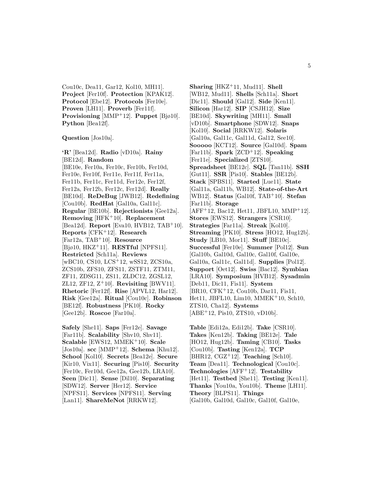Cou10c, Dea11, Gar12, Kol10, MH11]. **Project** [Fer10f]. **Protection** [KPAK12]. **Protocol** [Ebe12]. **Protocols** [Fer10e]. **Proven** [LH11]. **Proverb** [Fer11f]. **Provisioning** [MMP<sup>+</sup>12]. **Puppet** [Bjø10]. **Python** [Bea12f].

**Question** [Jos10a].

**'R'** [Bea12d]. **Radio** [vD10a]. **Rainy** [BE12d]. **Random** [BE10e, Fer10a, Fer10c, Fer10b, Fer10d, Fer10e, Fer10f, Fer11e, Fer11f, Fer11a, Fer11b, Fer11c, Fer11d, Fer12e, Fer12f, Fer12a, Fer12b, Fer12c, Fer12d]. **Really** [BE10d]. **ReDeBug** [JWB12]. **Redefining** [Cou10b]. **RedHat** [Gal10a, Gal11c]. **Regular** [BE10b]. **Rejectionists** [Gee12a]. **Removing** [HFK<sup>+</sup>10]. **Replacement** [Bea12d]. **Report** [Eva10, HVB12, TAB<sup>+</sup>10]. **Reports** [CFK<sup>+</sup>12]. **Research** [Far12a, TAB<sup>+</sup>10]. **Resource** [Bjø10, HKZ<sup>+</sup>11]. **RESTful** [NPFS11]. **Restricted** [Sch11a]. **Reviews** [wBC10, CS10, LCS<sup>+</sup>12, wSS12, ZCS10a, ZCS10b, ZFS10, ZFS11, ZSTF11, ZTM11, ZF11, ZDSG11, ZS11, ZLDC12, ZGSL12, ZL12, ZF12, Z<sup>+</sup>10]. **Revisiting** [BWV11]. **Rhetoric** [Fer12f]. **Rise** [APVL12, Har12]. **Risk** [Gee12a]. **Ritual** [Cou10c]. **Robinson** [BE12f]. **Robustness** [PK10]. **Rocky** [Gee12b]. **Roscoe** [Far10a].

**Safely** [She11]. **Saps** [Fer12e]. **Savage** [Far11b]. **Scalability** [Shv10, Shv11]. **Scalable** [EWS12, MMEK<sup>+</sup>10]. **Scale** [Jos10a]. **scc** [MMP<sup>+</sup>12]. **Schema** [Khu12]. **School** [Kol10]. **Secrets** [Bea12e]. **Secure** [Kir10, Vix11]. **Securing** [Pis10]. **Security** [Fer10c, Fer10d, Gee12a, Gee12b, LRA10]. **Seen** [Dic11]. **Sense** [Dil10]. **Separating** [SDW12]. **Server** [Her12]. **Service** [NPFS11]. **Services** [NPFS11]. **Serving** [Lan11]. **ShareMeNot** [RRKW12].

**Sharing** [HKZ<sup>+</sup>11, Mud11]. **Shell** [WB12, Mud11]. **Shells** [Sch11a]. **Short** [Dic11]. **Should** [Gal12]. **Side** [Ken11]. **Silicon** [Har12]. **SIP** [CSJH12]. **Size** [BE10d]. **Skywriting** [MH11]. **Small** [vD10b]. **Smartphone** [SDW12]. **Snaps** [Kol10]. **Social** [RRKW12]. **Solaris** [Gal10a, Gal11c, Gal11d, Gal12, See10]. **Sooooo** [KCT12]. **Source** [Gal10d]. **Spam** [Far11b]. **Spark** [ZCD<sup>+</sup>12]. **Speaking** [Fer11e]. **Specialized** [ZTS10]. **Spreadsheet** [BE12c]. **SQL** [Tan11b]. **SSH** [Gut11]. **SSR** [Pis10]. **Stables** [BE12b]. **Stack** [SPBS11]. **Started** [Lue11]. **State** [Gal11a, Gal11b, WB12]. **State-of-the-Art** [WB12]. **Status** [Gal10f, TAB<sup>+</sup>10]. **Stefan** [Far11b]. **Storage**  $[AFF+12, Bac12, Het11, JBFL10, MMP+12].$ **Stores** [EWS12]. **Strangers** [CSR10]. **Strategies** [Far11a]. **Streak** [Kol10]. **Streaming** [PK10]. **Stress** [HO12, Hug12b]. **Study** [LB10, Mor11]. **Stuff** [BE10c]. **Successful** [Fer10e]. **Summer** [Pol12]. **Sun** [Gal10b, Gal10d, Gal10c, Gal10f, Gal10e, Gal10a, Gal11c, Gal11d]. **Supplies** [Pol12]. **Support** [Oet12]. **Swiss** [Bac12]. **Symbian** [LRA10]. **Symposium** [HVB12]. **Sysadmin** [Deb11, Dic11, Fis11]. **System** [BR10, CFK<sup>+</sup>12, Cou10b, Dar11, Fis11, Het11, JBFL10, Lim10, MMEK<sup>+</sup>10, Sch10, ZTS10, Cha12]. **Systems** [ABE<sup>+</sup>12, Pis10, ZTS10, vD10b].

**Table** [Edi12a, Edi12b]. **Take** [CSR10]. **Takes** [Ken12b]. **Taking** [BE12e]. **Tale** [HO12, Hug12b]. **Taming** [CB10]. **Tasks** [Cou10b]. **Tasting** [Ken12a]. **TCP** [BHR12, CGZ<sup>+</sup>12]. **Teaching** [Sch10]. **Team** [Dea11]. **Technological** [Cou10c]. **Technologies** [AFF<sup>+</sup>12]. **Testability** [Het11]. **Testbed** [She11]. **Testing** [Ken11]. **Thanks** [You10a, You10b]. **Theme** [LH11]. **Theory** [BLPS11]. **Things** [Gal10b, Gal10d, Gal10c, Gal10f, Gal10e,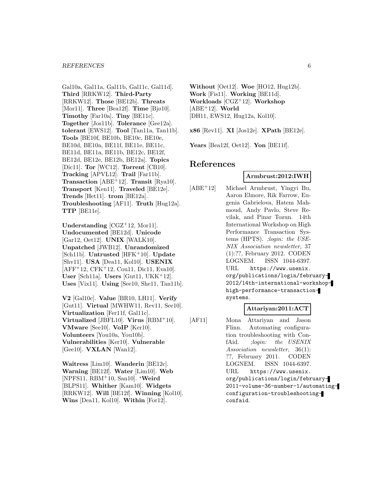#### *REFERENCES* 6

Gal10a, Gal11a, Gal11b, Gal11c, Gal11d]. **Third** [RRKW12]. **Third-Party** [RRKW12]. **Those** [BE12b]. **Threats** [Mor11]. **Three** [Bea12f]. **Time** [Bjø10]. **Timothy** [Far10a]. **Tiny** [BE11c]. **Together** [Jos11b]. **Tolerance** [Gee12a]. **tolerant** [EWS12]. **Tool** [Tan11a, Tan11b]. **Tools** [BE10f, BE10b, BE10c, BE10e, BE10d, BE10a, BE11f, BE11e, BE11c, BE11d, BE11a, BE11b, BE12c, BE12f, BE12d, BE12e, BE12b, BE12a]. **Topics** [Dic11]. **Tor** [WC12]. **Torrent** [CB10]. **Tracking** [APVL12]. **Trail** [Far11b]. **Transaction** [ABE<sup>+</sup>12]. **Transit** [Rya10]. **Transport** [Ken11]. **Traveled** [BE12e]. **Trends** [Het11]. **trom** [BE12a]. **Troubleshooting** [AF11]. **Truth** [Hug12a]. **TTP** [BE11e].

**Understanding** [CGZ<sup>+</sup>12, Mor11]. **Undocumented** [BE12d]. **Unicode** [Gar12, Oet12]. **UNIX** [WALK10]. **Unpatched** [JWB12]. **Unrandomized** [Sch11b]. **Untrusted** [HFK<sup>+</sup>10]. **Update** [Shv11]. **USA** [Dea11, Kol10]. **USENIX**  $[AFF+12, CFK+12, Coul1, Dic11, Eva10].$ **User** [Sch11a]. **Users** [Gut11, UKK<sup>+</sup>12]. **Uses** [Vix11]. **Using** [See10, She11, Tan11b].

**V2** [Gal10c]. **Value** [BR10, LH11]. **Verify** [Gut11]. **Virtual** [MWHW11, Rev11, See10]. **Virtualization** [Fer11f, Gal11c]. **Virtualized** [JBFL10]. **Virus** [RBM<sup>+</sup>10]. **VMware** [See10]. **VoIP** [Ker10]. **Volunteers** [You10a, You10b]. **Vulnerabilities** [Ker10]. **Vulnerable** [Gee10]. **VXLAN** [Wan12].

**Waitress** [Lim10]. **Wanderin** [BE12c]. **Warning** [BE12f]. **Water** [Lim10]. **Web** [NPFS11, RBM<sup>+</sup>10, San10]. **'Weird** [BLPS11]. **Whither** [Kam10]. **Widgets** [RRKW12]. **Will** [BE12f]. **Winning** [Kol10]. **Wins** [Dea11, Kol10]. **Within** [For12].

**Without** [Oet12]. **Woe** [HO12, Hug12b]. **Work** [Fis11]. **Working** [BE11d]. **Workloads** [CGZ<sup>+</sup>12]. **Workshop** [ABE<sup>+</sup>12]. **World** [DH11, EWS12, Hug12a, Kol10].

**x86** [Rev11]. **XI** [Jos12e]. **XPath** [BE12e].

**Years** [Bea12f, Oet12]. **Yon** [BE11f].

# **References**

# **Armbrust:2012:IWH**

[ABE<sup>+</sup>12] Michael Armbrust, Yingyi Bu, Aaron Elmore, Rik Farrow, Eugenia Gabrielova, Hatem Mahmoud, Andy Pavlo, Steve Revilak, and Pinar Tozun. 14th International Workshop on High Performance Transaction Systems (HPTS). ;login: the USE-NIX Association newsletter, 37 (1):??, February 2012. CODEN LOGNEM. ISSN 1044-6397. URL https://www.usenix. org/publications/login/february-2012/14th-international-workshophigh-performance-transactionsystems.

#### **Attariyan:2011:ACT**

[AF11] Mona Attariyan and Jason Flinn. Automating configuration troubleshooting with ConfAid. ;login: the USENIX Association newsletter, 36(1): ??, February 2011. CODEN LOGNEM. ISSN 1044-6397. URL https://www.usenix. org/publications/login/february-2011-volume-36-number-1/automatingconfiguration-troubleshootingconfaid.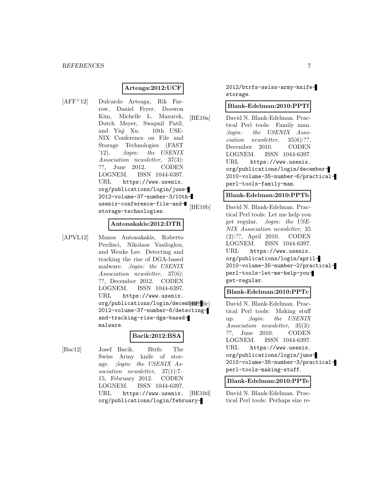#### **Arteaga:2012:UCF**

[AFF<sup>+</sup>12] Dulcardo Arteaga, Rik Farrow, Daniel Fryer, Doowon Kim, Michelle L. Mazurek, Dutch Meyer, Swapnil Patil, and Yiqi Xu. 10th USE-NIX Conference on File and Storage Technologies (FAST '12). ;login: the USENIX Association newsletter, 37(3): ??, June 2012. CODEN LOGNEM. ISSN 1044-6397. URL https://www.usenix. org/publications/login/june-2012-volume-37-number-3/10thusenix-conference-file-andstorage-technologies.

#### **Antonakakis:2012:DTR**

[APVL12] Manos Antonakakis, Roberto Perdisci, Nikolaos Vasiloglou, and Wenke Lee. Detecting and tracking the rise of DGA-based malware. ;login: the USENIX Association newsletter, 37(6): ??, December 2012. CODEN LOGNEM. ISSN 1044-6397. URL https://www.usenix.  $org/publications/login/decemb$  $B$  $F[0c]$ 2012-volume-37-number-6/detectingand-tracking-rise-dga-basedmalware.

# **Bacik:2012:BSA**

[Bac12] Josef Bacik. Btrfs: The Swiss Army knife of storage. ;login: the USENIX Association newsletter, 37(1):7– 15, February 2012. CODEN LOGNEM. ISSN 1044-6397. URL https://www.usenix. org/publications/login/february2012/btrfs-swiss-army-knifestorage.

#### **Blank-Edelman:2010:PPTf**

[BE10a] David N. Blank-Edelman. Practical Perl tools: Family man. ;login: the USENIX Association newsletter, 35(6):??, December 2010. CODEN LOGNEM. ISSN 1044-6397. URL https://www.usenix. org/publications/login/december-2010-volume-35-number-6/practicalperl-tools-family-man.

#### **Blank-Edelman:2010:PPTb**

[BE10b] David N. Blank-Edelman. Practical Perl tools: Let me help you get regular. ;login: the USE-NIX Association newsletter, 35 (2):??, April 2010. CODEN LOGNEM. ISSN 1044-6397. URL https://www.usenix. org/publications/login/april-2010-volume-35-number-2/practicalperl-tools-let-me-help-youget-regular.

# **Blank-Edelman:2010:PPTc**

David N. Blank-Edelman. Practical Perl tools: Making stuff up. ;login: the USENIX Association newsletter, 35(3): ??, June 2010. CODEN LOGNEM. ISSN 1044-6397. URL https://www.usenix. org/publications/login/june-2010-volume-35-number-3/practicalperl-tools-making-stuff.

#### **Blank-Edelman:2010:PPTe**

[BE10d] David N. Blank-Edelman. Practical Perl tools: Perhaps size re-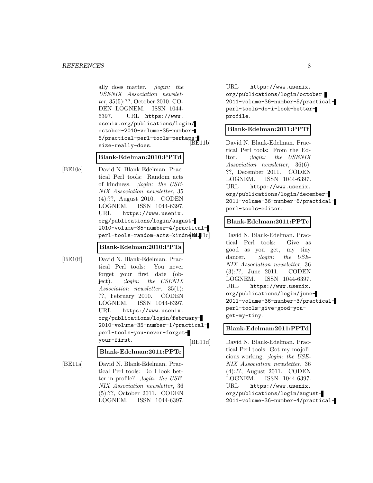#### *REFERENCES* 8

ally does matter. ;login: the USENIX Association newsletter, 35(5):??, October 2010. CO-DEN LOGNEM. ISSN 1044- 6397. URL https://www. usenix.org/publications/login/ october-2010-volume-35-number-5/practical-perl-tools-perhapssize-really-does.

#### **Blank-Edelman:2010:PPTd**

[BE10e] David N. Blank-Edelman. Practical Perl tools: Random acts of kindness. ;login: the USE-NIX Association newsletter, 35 (4):??, August 2010. CODEN LOGNEM. ISSN 1044-6397. URL https://www.usenix. org/publications/login/august-2010-volume-35-number-4/practical $perl-tools-random - acts - kindn@BFL1c$ 

#### **Blank-Edelman:2010:PPTa**

[BE10f] David N. Blank-Edelman. Practical Perl tools: You never forget your first date (object). ;*login:* the USENIX Association newsletter, 35(1): ??, February 2010. CODEN LOGNEM. ISSN 1044-6397. URL https://www.usenix. org/publications/login/february-2010-volume-35-number-1/practicalperl-tools-you-never-forgetyour-first.

**Blank-Edelman:2011:PPTe**

[BE11a] David N. Blank-Edelman. Practical Perl tools: Do I look better in profile? ;login: the USE-NIX Association newsletter, 36 (5):??, October 2011. CODEN LOGNEM. ISSN 1044-6397.

URL https://www.usenix. org/publications/login/october-2011-volume-36-number-5/practicalperl-tools-do-i-look-betterprofile.

#### **Blank-Edelman:2011:PPTf**

David N. Blank-Edelman. Practical Perl tools: From the Editor. ;login: the USENIX Association newsletter, 36(6): ??, December 2011. CODEN LOGNEM. ISSN 1044-6397. URL https://www.usenix. org/publications/login/december-2011-volume-36-number-6/practicalperl-tools-editor.

#### **Blank-Edelman:2011:PPTc**

David N. Blank-Edelman. Practical Perl tools: Give as good as you get, my tiny dancer. *;login: the USE-*NIX Association newsletter, 36 (3):??, June 2011. CODEN LOGNEM. ISSN 1044-6397. URL https://www.usenix. org/publications/login/june-2011-volume-36-number-3/practicalperl-tools-give-good-youget-my-tiny.

#### **Blank-Edelman:2011:PPTd**

[BE11d] David N. Blank-Edelman. Practical Perl tools: Got my mojolicious working. ;login: the USE-NIX Association newsletter, 36 (4):??, August 2011. CODEN LOGNEM. ISSN 1044-6397. URL https://www.usenix. org/publications/login/august-2011-volume-36-number-4/practical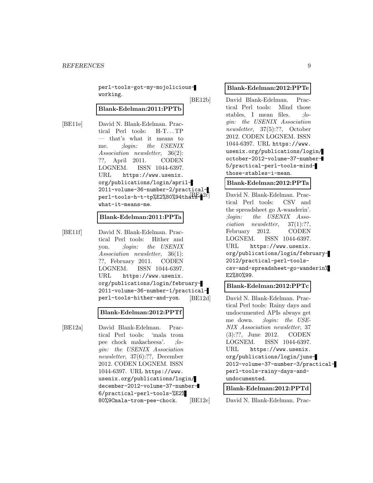perl-tools-got-my-mojoliciousworking.

#### **Blank-Edelman:2011:PPTb**

[BE11e] David N. Blank-Edelman. Practical Perl tools: H-T...TP — that's what it means to me. ;login: the USENIX Association newsletter, 36(2): ??, April 2011. CODEN LOGNEM. ISSN 1044-6397. URL https://www.usenix. org/publications/login/april-2011-volume-36-number-2/practicalperl-tools-h-t-tp%E2%80%94thatswhat-it-means-me.

#### **Blank-Edelman:2011:PPTa**

[BE11f] David N. Blank-Edelman. Practical Perl tools: Hither and yon. ;login: the USENIX Association newsletter, 36(1): ??, February 2011. CODEN LOGNEM. ISSN 1044-6397. URL https://www.usenix. org/publications/login/february-2011-volume-36-number-1/practicalperl-tools-hither-and-yon.

#### **Blank-Edelman:2012:PPTf**

[BE12a] David Blank-Edelman. Practical Perl tools: 'mala trom pee chock makacheesa'. ;login: the USENIX Association newsletter, 37(6):??, December 2012. CODEN LOGNEM. ISSN 1044-6397. URL https://www. usenix.org/publications/login/ december-2012-volume-37-number-6/practical-perl-tools-%E2% 80%9Cmala-trom-pee-chock.

#### **Blank-Edelman:2012:PPTe**

[BE12b] David Blank-Edelman. Practical Perl tools: Mind those stables, I mean files. ;*lo*gin: the USENIX Association newsletter, 37(5):??, October 2012. CODEN LOGNEM. ISSN 1044-6397. URL https://www. usenix.org/publications/login/ october-2012-volume-37-number-5/practical-perl-tools-mindthose-stables-i-mean.

**Blank-Edelman:2012:PPTa**

David N. Blank-Edelman. Practical Perl tools: CSV and the spreadsheet go A-wanderin'. ;login: the USENIX Association newsletter, 37(1):??, February 2012. CODEN LOGNEM. ISSN 1044-6397. URL https://www.usenix. org/publications/login/february-2012/practical-perl-toolscsv-and-spreadsheet-go-wanderin% E2%80%99.

# **Blank-Edelman:2012:PPTc**

[BE12d] David N. Blank-Edelman. Practical Perl tools: Rainy days and undocumented APIs always get me down. ;login: the USE-NIX Association newsletter, 37 (3):??, June 2012. CODEN LOGNEM. ISSN 1044-6397. URL https://www.usenix. org/publications/login/june-2012-volume-37-number-3/practicalperl-tools-rainy-days-andundocumented.

#### **Blank-Edelman:2012:PPTd**

[BE12e] David N. Blank-Edelman. Prac-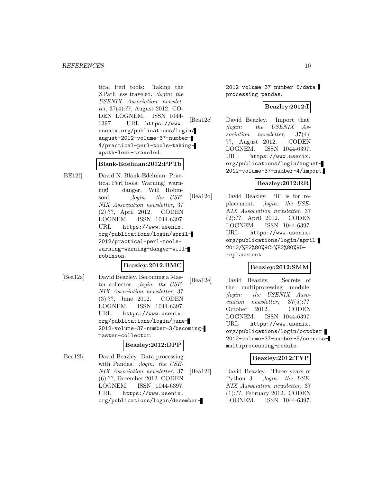tical Perl tools: Taking the XPath less traveled. ;login: the USENIX Association newsletter, 37(4):??, August 2012. CO-DEN LOGNEM. ISSN 1044- 6397. URL https://www. usenix.org/publications/login/ august-2012-volume-37-number-4/practical-perl-tools-takingxpath-less-traveled.

# **Blank-Edelman:2012:PPTb**

[BE12f] David N. Blank-Edelman. Practical Perl tools: Warning! warning! danger, Will Robinson! ;*login:* the USE-NIX Association newsletter, 37 (2):??, April 2012. CODEN LOGNEM. ISSN 1044-6397. URL https://www.usenix. org/publications/login/april-2012/practical-perl-toolswarning-warning-danger-willrobinson.

#### **Beazley:2012:BMC**

[Bea12a] David Beazley. Becoming a Master collector. ;login: the USE-NIX Association newsletter, 37 (3):??, June 2012. CODEN LOGNEM. ISSN 1044-6397. URL https://www.usenix. org/publications/login/june-2012-volume-37-number-3/becomingmaster-collector.

#### **Beazley:2012:DPP**

[Bea12b] David Beazley. Data processing with Pandas. ; login: the USE-NIX Association newsletter, 37 (6):??, December 2012. CODEN LOGNEM. ISSN 1044-6397. URL https://www.usenix. org/publications/login/december-

2012-volume-37-number-6/dataprocessing-pandas.

# **Beazley:2012:I**

[Bea12c] David Beazley. Import that! ;login: the USENIX Association newsletter, 37(4): ??, August 2012. CODEN LOGNEM. ISSN 1044-6397. URL https://www.usenix. org/publications/login/august-2012-volume-37-number-4/import.

#### **Beazley:2012:RR**

[Bea12d] David Beazley. 'R' is for replacement. ;login: the USE-NIX Association newsletter, 37 (2):??, April 2012. CODEN LOGNEM. ISSN 1044-6397. URL https://www.usenix. org/publications/login/april-2012/%E2%80%9Cr%E2%80%9Dreplacement.

# **Beazley:2012:SMM**

[Bea12e] David Beazley. Secrets of the multiprocessing module. ;login: the USENIX Association newsletter, 37(5):??, October 2012. CODEN LOGNEM. ISSN 1044-6397. URL https://www.usenix. org/publications/login/october-2012-volume-37-number-5/secretsmultiprocessing-module.

# **Beazley:2012:TYP**

[Bea12f] David Beazley. Three years of Python 3. ; login: the USE-NIX Association newsletter, 37 (1):??, February 2012. CODEN LOGNEM. ISSN 1044-6397.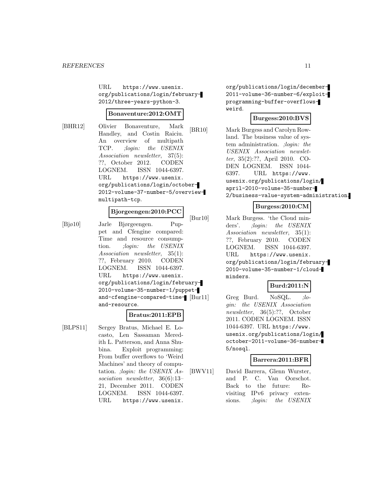URL https://www.usenix. org/publications/login/february-2012/three-years-python-3.

#### **Bonaventure:2012:OMT**

[BHR12] Olivier Bonaventure, Mark Handley, and Costin Raiciu. An overview of multipath TCP. ;login: the USENIX Association newsletter, 37(5): ??, October 2012. CODEN LOGNEM. ISSN 1044-6397. URL https://www.usenix. org/publications/login/october-2012-volume-37-number-5/overviewmultipath-tcp.

# **Bjorgeengen:2010:PCC**

[Bjø10] Jarle Bjørgeengen. Puppet and Cfengine compared: Time and resource consumption. *: login:* the USENIX Association newsletter, 35(1): ??, February 2010. CODEN LOGNEM. ISSN 1044-6397. URL https://www.usenix. org/publications/login/february-2010-volume-35-number-1/puppetand-cfengine-compared-time- [Bur11] and-resource.

#### **Bratus:2011:EPB**

[BLPS11] Sergey Bratus, Michael E. Locasto, Len Sassaman Meredith L. Patterson, and Anna Shubina. Exploit programming: From buffer overflows to 'Weird Machines' and theory of computation. ;login: the USENIX Association newsletter, 36(6):13– 21, December 2011. CODEN LOGNEM. ISSN 1044-6397. URL https://www.usenix.

org/publications/login/december-2011-volume-36-number-6/exploitprogramming-buffer-overflowsweird.

# **Burgess:2010:BVS**

[BR10] Mark Burgess and Carolyn Rowland. The business value of system administration. ;login: the USENIX Association newsletter, 35(2):??, April 2010. CO-DEN LOGNEM. ISSN 1044- 6397. URL https://www. usenix.org/publications/login/ april-2010-volume-35-number-2/business-value-system-administration.

# **Burgess:2010:CM**

[Bur10] Mark Burgess. 'the Cloud minders'. *;login: the USENIX* Association newsletter, 35(1): ??, February 2010. CODEN LOGNEM. ISSN 1044-6397. URL https://www.usenix. org/publications/login/february-2010-volume-35-number-1/cloudminders.

#### **Burd:2011:N**

Greg Burd. NoSQL. ;login: the USENIX Association newsletter, 36(5):??, October 2011. CODEN LOGNEM. ISSN 1044-6397. URL https://www. usenix.org/publications/login/ october-2011-volume-36-number-5/nosql.

# **Barrera:2011:BFR**

[BWV11] David Barrera, Glenn Wurster, and P. C. Van Oorschot. Back to the future: Revisiting IPv6 privacy extensions. *;login:* the USENIX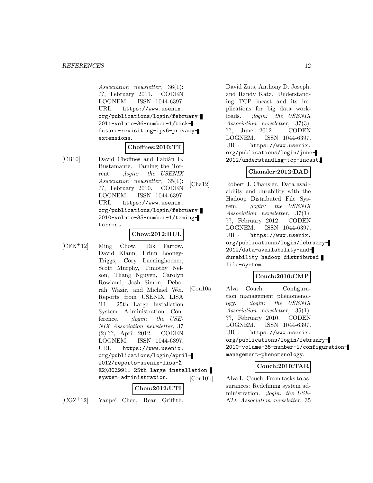Association newsletter, 36(1): ??, February 2011. CODEN LOGNEM. ISSN 1044-6397. URL https://www.usenix. org/publications/login/february-2011-volume-36-number-1/backfuture-revisiting-ipv6-privacyextensions.

# **Choffnes:2010:TT**

[CB10] David Choffnes and Fabián E. Bustamante. Taming the Torrent. ;login: the USENIX Association newsletter, 35(1): ??, February 2010. CODEN LOGNEM. ISSN 1044-6397. URL https://www.usenix. org/publications/login/february-2010-volume-35-number-1/tamingtorrent.

#### **Chow:2012:RUL**

[CFK<sup>+</sup>12] Ming Chow, Rik Farrow, David Klann, Erinn Looney-Triggs, Cory Lueninghoener, Scott Murphy, Timothy Nelson, Thang Nguyen, Carolyn Rowland, Josh Simon, Deborah Wazir, and Michael Wei. Reports from USENIX LISA '11: 25th Large Installation System Administration Conference. ; *login:* the USE-NIX Association newsletter, 37 (2):??, April 2012. CODEN LOGNEM. ISSN 1044-6397. URL https://www.usenix. org/publications/login/april-2012/reports-usenix-lisa-% E2%80%9911-25th-large-installationsystem-administration. **Chen:2012:UTI**

[CGZ<sup>+</sup>12] Yanpei Chen, Rean Griffith,

David Zats, Anthony D. Joseph, and Randy Katz. Understanding TCP incast and its implications for big data workloads. ;*login:* the USENIX Association newsletter, 37(3): ??, June 2012. CODEN LOGNEM. ISSN 1044-6397. URL https://www.usenix. org/publications/login/june-2012/understanding-tcp-incast.

# **Chansler:2012:DAD**

[Cha12] Robert J. Chansler. Data availability and durability with the Hadoop Distributed File System. *: login:* the USENIX Association newsletter, 37(1): ??, February 2012. CODEN LOGNEM. ISSN 1044-6397. URL https://www.usenix. org/publications/login/february-2012/data-availability-anddurability-hadoop-distributedfile-system.

# **Couch:2010:CMP**

[Cou10a] Alva Couch. Configuration management phenomenology. ;login: the USENIX Association newsletter, 35(1): ??, February 2010. CODEN LOGNEM. ISSN 1044-6397. URL https://www.usenix. org/publications/login/february-2010-volume-35-number-1/configurationmanagement-phenomenology.

# **Couch:2010:TAR**

[Cou10b] Alva L. Couch. From tasks to assurances: Redefining system administration. ;login: the USE-NIX Association newsletter, 35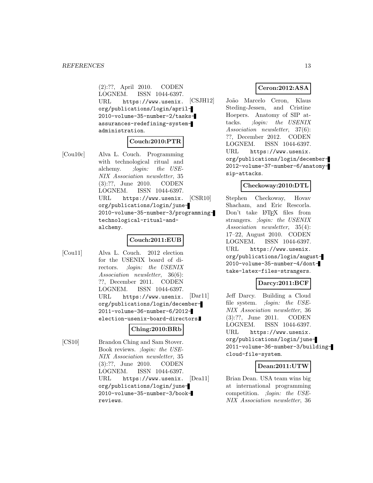(2):??, April 2010. CODEN LOGNEM. ISSN 1044-6397. URL https://www.usenix. org/publications/login/april-2010-volume-35-number-2/tasksassurances-redefining-systemadministration.

#### **Couch:2010:PTR**

[Cou10c] Alva L. Couch. Programming with technological ritual and alchemy. ;login: the USE-NIX Association newsletter, 35 (3):??, June 2010. CODEN LOGNEM. ISSN 1044-6397. URL https://www.usenix. org/publications/login/june-2010-volume-35-number-3/programmingtechnological-ritual-andalchemy.

# **Couch:2011:EUB**

[Cou11] Alva L. Couch. 2012 election for the USENIX board of directors. ;login: the USENIX Association newsletter, 36(6): ??, December 2011. CODEN LOGNEM. ISSN 1044-6397. URL https://www.usenix. org/publications/login/december-2011-volume-36-number-6/2012 election-usenix-board-directors.

# **Ching:2010:BRb**

[CS10] Brandon Ching and Sam Stover. Book reviews. ;login: the USE-NIX Association newsletter, 35 (3):??, June 2010. CODEN LOGNEM. ISSN 1044-6397. URL https://www.usenix. org/publications/login/june-2010-volume-35-number-3/bookreviews.

#### **Ceron:2012:ASA**

[CSJH12] João Marcelo Ceron, Klaus Steding-Jessen, and Cristine Hoepers. Anatomy of SIP attacks. ;login: the USENIX Association newsletter, 37(6): ??, December 2012. CODEN LOGNEM. ISSN 1044-6397. URL https://www.usenix. org/publications/login/december-2012-volume-37-number-6/anatomysip-attacks.

#### **Checkoway:2010:DTL**

[CSR10] Stephen Checkoway, Hovav Shacham, and Eric Rescorla. Don't take LAT<sub>EX</sub> files from strangers. ;login: the USENIX Association newsletter, 35(4): 17–22, August 2010. CODEN LOGNEM. ISSN 1044-6397. URL https://www.usenix. org/publications/login/august-2010-volume-35-number-4/donttake-latex-files-strangers.

# **Darcy:2011:BCF**

[Dar11] Jeff Darcy. Building a Cloud file system. ;login: the USE-NIX Association newsletter, 36 (3):??, June 2011. CODEN LOGNEM. ISSN 1044-6397. URL https://www.usenix. org/publications/login/june-2011-volume-36-number-3/buildingcloud-file-system.

#### **Dean:2011:UTW**

[Dea11] Brian Dean. USA team wins big at international programming competition. ;login: the USE-NIX Association newsletter, 36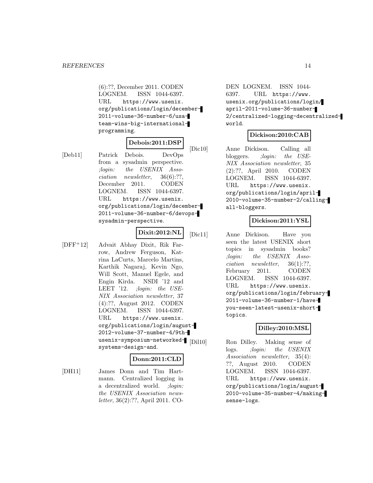(6):??, December 2011. CODEN LOGNEM. ISSN 1044-6397. URL https://www.usenix. org/publications/login/december-2011-volume-36-number-6/usateam-wins-big-internationalprogramming.

# **Debois:2011:DSP**

[Deb11] Patrick Debois. DevOps from a sysadmin perspective. ;login: the USENIX Association newsletter, 36(6):??, December 2011. CODEN LOGNEM. ISSN 1044-6397. URL https://www.usenix. org/publications/login/december-2011-volume-36-number-6/devopssysadmin-perspective.

# **Dixit:2012:NL**

[DFF<sup>+</sup>12] Advait Abhay Dixit, Rik Farrow, Andrew Ferguson, Katrina LaCurts, Marcelo Martins, Karthik Nagaraj, Kevin Ngo, Will Scott, Manuel Egele, and Engin Kirda. NSDI '12 and LEET '12. ;login: the USE-NIX Association newsletter, 37 (4):??, August 2012. CODEN LOGNEM. ISSN 1044-6397. URL https://www.usenix. org/publications/login/august-2012-volume-37-number-4/9thusenix-symposium-networked-<br/>  $\mid$  [Dil10] systems-design-and.

# **Donn:2011:CLD**

[DH11] James Donn and Tim Hartmann. Centralized logging in a decentralized world. ; login: the USENIX Association newsletter, 36(2):??, April 2011. CO-

DEN LOGNEM. ISSN 1044- 6397. URL https://www. usenix.org/publications/login/ april-2011-volume-36-number-2/centralized-logging-decentralizedworld.

#### **Dickison:2010:CAB**

[Dic10] Anne Dickison. Calling all bloggers. ;login: the USE-NIX Association newsletter, 35 (2):??, April 2010. CODEN LOGNEM. ISSN 1044-6397. URL https://www.usenix. org/publications/login/april-2010-volume-35-number-2/callingall-bloggers.

# **Dickison:2011:YSL**

[Dic11] Anne Dickison. Have you seen the latest USENIX short topics in sysadmin books? ;login: the USENIX Association newsletter, 36(1):??, February 2011. CODEN LOGNEM. ISSN 1044-6397. URL https://www.usenix. org/publications/login/february-2011-volume-36-number-1/haveyou-seen-latest-usenix-shorttopics.

# **Dilley:2010:MSL**

Ron Dilley. Making sense of logs. *;login:* the USENIX Association newsletter, 35(4): ??, August 2010. CODEN LOGNEM. ISSN 1044-6397. URL https://www.usenix. org/publications/login/august-2010-volume-35-number-4/makingsense-logs.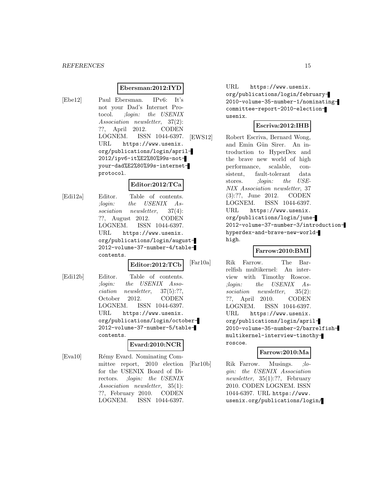#### **Ebersman:2012:IYD**

[Ebe12] Paul Ebersman. IPv6: It's not your Dad's Internet Protocol. ;login: the USENIX Association newsletter, 37(2): ??, April 2012. CODEN LOGNEM. ISSN 1044-6397. URL https://www.usenix. org/publications/login/april-2012/ipv6-it%E2%80%99s-notyour-dad%E2%80%99s-internetprotocol.

#### **Editor:2012:TCa**

[Edi12a] Editor. Table of contents. ;login: the USENIX Association newsletter, 37(4): ??, August 2012. CODEN LOGNEM. ISSN 1044-6397. URL https://www.usenix. org/publications/login/august-2012-volume-37-number-4/tablecontents.

# **Editor:2012:TCb**

[Edi12b] Editor. Table of contents. ;login: the USENIX Association newsletter, 37(5):??, October 2012. CODEN LOGNEM. ISSN 1044-6397. URL https://www.usenix. org/publications/login/october-2012-volume-37-number-5/tablecontents.

#### **Evard:2010:NCR**

[Eva10] Rémy Evard. Nominating Committee report, 2010 election for the USENIX Board of Directors. ;login: the USENIX Association newsletter, 35(1): ??, February 2010. CODEN LOGNEM. ISSN 1044-6397.

URL https://www.usenix. org/publications/login/february-2010-volume-35-number-1/nominatingcommittee-report-2010-electionusenix.

# **Escriva:2012:IHB**

[EWS12] Robert Escriva, Bernard Wong, and Emin Gün Sirer. An introduction to HyperDex and the brave new world of high performance, scalable, consistent, fault-tolerant data stores. *;login:* the USE-NIX Association newsletter, 37 (3):??, June 2012. CODEN LOGNEM. ISSN 1044-6397. URL https://www.usenix. org/publications/login/june-2012-volume-37-number-3/introductionhyperdex-and-brave-new-worldhigh.

# **Farrow:2010:BMI**

[Far10a] Rik Farrow. The Barrelfish multikernel: An interview with Timothy Roscoe. ;login: the USENIX Association newsletter, 35(2): ??, April 2010. CODEN LOGNEM. ISSN 1044-6397. URL https://www.usenix. org/publications/login/april-2010-volume-35-number-2/barrelfishmultikernel-interview-timothyroscoe.

# **Farrow:2010:Ma**

[Far10b] Rik Farrow. Musings. ;login: the USENIX Association newsletter, 35(1):??, February 2010. CODEN LOGNEM. ISSN 1044-6397. URL https://www. usenix.org/publications/login/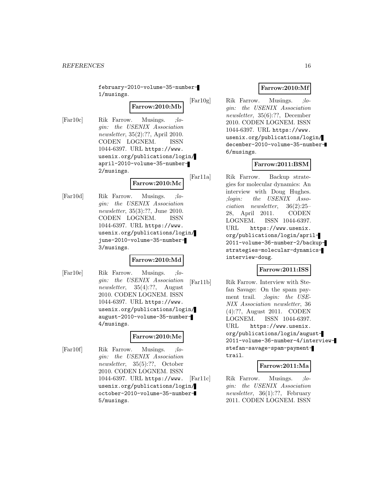february-2010-volume-35-number-1/musings.

**Farrow:2010:Mb**

[Far10c] Rik Farrow. Musings. ;login: the USENIX Association newsletter, 35(2):??, April 2010. CODEN LOGNEM. ISSN 1044-6397. URL https://www. usenix.org/publications/login/ april-2010-volume-35-number-2/musings.

**Farrow:2010:Mc**

[Far10d] Rik Farrow. Musings. ;login: the USENIX Association newsletter, 35(3):??, June 2010. CODEN LOGNEM. ISSN 1044-6397. URL https://www. usenix.org/publications/login/ june-2010-volume-35-number-3/musings.

# **Farrow:2010:Md**

[Far10e] Rik Farrow. Musings. ;login: the USENIX Association newsletter, 35(4):??, August 2010. CODEN LOGNEM. ISSN 1044-6397. URL https://www. usenix.org/publications/login/ august-2010-volume-35-number-4/musings.

# **Farrow:2010:Me**

[Far10f] Rik Farrow. Musings. ;login: the USENIX Association newsletter, 35(5):??, October 2010. CODEN LOGNEM. ISSN 1044-6397. URL https://www. usenix.org/publications/login/ october-2010-volume-35-number-5/musings.

# **Farrow:2010:Mf**

[Far10g] Rik Farrow. Musings. ;login: the USENIX Association newsletter, 35(6):??, December 2010. CODEN LOGNEM. ISSN 1044-6397. URL https://www. usenix.org/publications/login/ december-2010-volume-35-number-6/musings.

# **Farrow:2011:BSM**

[Far11a] Rik Farrow. Backup strategies for molecular dynamics: An interview with Doug Hughes. ;login: the USENIX Association newsletter, 36(2):25– 28, April 2011. CODEN LOGNEM. ISSN 1044-6397. URL https://www.usenix. org/publications/login/april-2011-volume-36-number-2/backupstrategies-molecular-dynamicsinterview-doug.

# **Farrow:2011:ISS**

[Far11b] Rik Farrow. Interview with Stefan Savage: On the spam payment trail. ;login: the USE-NIX Association newsletter, 36 (4):??, August 2011. CODEN LOGNEM. ISSN 1044-6397. URL https://www.usenix. org/publications/login/august-2011-volume-36-number-4/interviewstefan-savage-spam-paymenttrail.

# **Farrow:2011:Ma**

[Far11c] Rik Farrow. Musings. ;login: the USENIX Association newsletter, 36(1):??, February 2011. CODEN LOGNEM. ISSN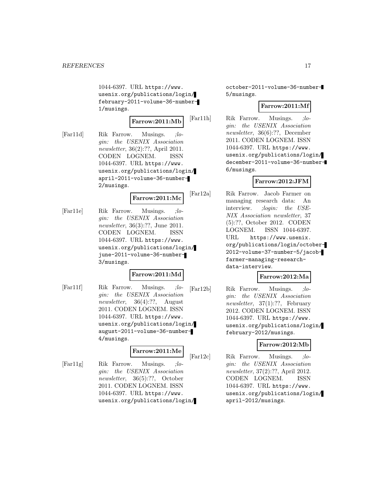1044-6397. URL https://www. usenix.org/publications/login/ february-2011-volume-36-number-1/musings.

**Farrow:2011:Mb**

[Far11d] Rik Farrow. Musings. ;login: the USENIX Association newsletter, 36(2):??, April 2011. CODEN LOGNEM. ISSN 1044-6397. URL https://www. usenix.org/publications/login/ april-2011-volume-36-number-2/musings.

**Farrow:2011:Mc**

[Far11e] Rik Farrow. Musings. ;login: the USENIX Association newsletter, 36(3):??, June 2011. CODEN LOGNEM. ISSN 1044-6397. URL https://www. usenix.org/publications/login/ june-2011-volume-36-number-3/musings.

# **Farrow:2011:Md**

[Far11f] Rik Farrow. Musings. ;login: the USENIX Association newsletter, 36(4):??, August 2011. CODEN LOGNEM. ISSN 1044-6397. URL https://www. usenix.org/publications/login/ august-2011-volume-36-number-4/musings.

#### **Farrow:2011:Me**

[Far11g] Rik Farrow. Musings. ;login: the USENIX Association newsletter, 36(5):??, October 2011. CODEN LOGNEM. ISSN 1044-6397. URL https://www. usenix.org/publications/login/

october-2011-volume-36-number-5/musings.

## **Farrow:2011:Mf**

[Far11h] Rik Farrow. Musings. ;login: the USENIX Association newsletter, 36(6):??, December 2011. CODEN LOGNEM. ISSN 1044-6397. URL https://www. usenix.org/publications/login/ december-2011-volume-36-number-6/musings.

# **Farrow:2012:JFM**

[Far12a] Rik Farrow. Jacob Farmer on managing research data: An interview. ;login: the USE-NIX Association newsletter, 37 (5):??, October 2012. CODEN LOGNEM. ISSN 1044-6397. URL https://www.usenix. org/publications/login/october-2012-volume-37-number-5/jacobfarmer-managing-researchdata-interview.

#### **Farrow:2012:Ma**

[Far12b] Rik Farrow. Musings. ;login: the USENIX Association newsletter, 37(1):??, February 2012. CODEN LOGNEM. ISSN 1044-6397. URL https://www. usenix.org/publications/login/ february-2012/musings.

#### **Farrow:2012:Mb**

[Far12c] Rik Farrow. Musings. ;login: the USENIX Association newsletter, 37(2):??, April 2012. CODEN LOGNEM. ISSN 1044-6397. URL https://www. usenix.org/publications/login/ april-2012/musings.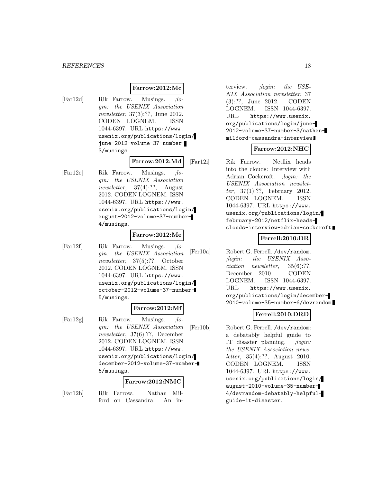#### **Farrow:2012:Mc**

[Far12d] Rik Farrow. Musings. ;login: the USENIX Association newsletter, 37(3):??, June 2012. CODEN LOGNEM. ISSN 1044-6397. URL https://www. usenix.org/publications/login/ june-2012-volume-37-number-3/musings.

**Farrow:2012:Md**

[Far12e] Rik Farrow. Musings. ;login: the USENIX Association newsletter, 37(4):??, August 2012. CODEN LOGNEM. ISSN 1044-6397. URL https://www. usenix.org/publications/login/ august-2012-volume-37-number-4/musings.

#### **Farrow:2012:Me**

[Far12f] Rik Farrow. Musings. ;login: the USENIX Association newsletter, 37(5):??, October 2012. CODEN LOGNEM. ISSN 1044-6397. URL https://www. usenix.org/publications/login/ october-2012-volume-37-number-5/musings.

#### **Farrow:2012:Mf**

[Far12g] Rik Farrow. Musings. ;login: the USENIX Association newsletter, 37(6):??, December 2012. CODEN LOGNEM. ISSN 1044-6397. URL https://www. usenix.org/publications/login/ december-2012-volume-37-number-6/musings.

#### **Farrow:2012:NMC**

[Far12h] Rik Farrow. Nathan Mil-

ford on Cassandra: An in-

terview. *;login: the USE-*NIX Association newsletter, 37 (3):??, June 2012. CODEN LOGNEM. ISSN 1044-6397. URL https://www.usenix. org/publications/login/june-2012-volume-37-number-3/nathanmilford-cassandra-interview.

# **Farrow:2012:NHC**

[Far12i] Rik Farrow. Netflix heads into the clouds: Interview with Adrian Cockcroft. ;login: the USENIX Association newsletter, 37(1):??, February 2012. CODEN LOGNEM. ISSN 1044-6397. URL https://www. usenix.org/publications/login/ february-2012/netflix-headsclouds-interview-adrian-cockcroft.

#### **Ferrell:2010:DR**

[Fer10a] Robert G. Ferrell. /dev/random. ;login: the USENIX Association newsletter, 35(6):??, December 2010. CODEN LOGNEM. ISSN 1044-6397. URL https://www.usenix. org/publications/login/december-2010-volume-35-number-6/devrandom.

#### **Ferrell:2010:DRD**

[Fer10b] Robert G. Ferrell. /dev/random: a debatably helpful guide to IT disaster planning. ;login: the USENIX Association newsletter, 35(4):??, August 2010. CODEN LOGNEM. ISSN 1044-6397. URL https://www. usenix.org/publications/login/ august-2010-volume-35-number-4/devrandom-debatably-helpfulguide-it-disaster.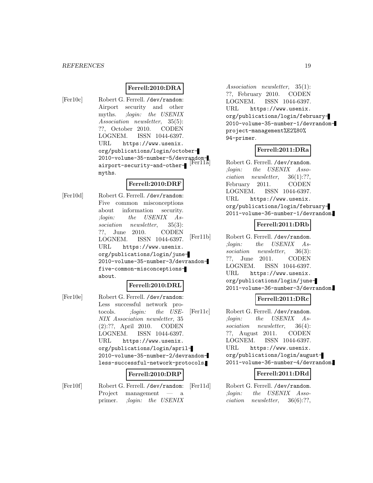# **Ferrell:2010:DRA**

[Fer10c] Robert G. Ferrell. /dev/random: Airport security and other myths. ;login: the USENIX Association newsletter, 35(5): ??, October 2010. CODEN LOGNEM. ISSN 1044-6397. URL https://www.usenix. org/publications/login/october-2010-volume-35-number-5/devrandomairport-security-and-othermyths.

#### **Ferrell:2010:DRF**

[Fer10d] Robert G. Ferrell. /dev/random: Five common misconceptions about information security. ;login: the USENIX Association newsletter, 35(3): ??, June 2010. CODEN LOGNEM. ISSN 1044-6397. URL https://www.usenix. org/publications/login/june-2010-volume-35-number-3/devrandomfive-common-misconceptionsabout.

#### **Ferrell:2010:DRL**

[Fer10e] Robert G. Ferrell. /dev/random: Less successful network protocols. ;login: the USE-NIX Association newsletter, 35 (2):??, April 2010. CODEN LOGNEM. ISSN 1044-6397. URL https://www.usenix. org/publications/login/april-2010-volume-35-number-2/devrandomless-successful-network-protocols.

# **Ferrell:2010:DRP**

[Fer10f] Robert G. Ferrell. /dev/random: Project management — a primer. ;login: the USENIX

Association newsletter, 35(1): ??, February 2010. CODEN LOGNEM. ISSN 1044-6397. URL https://www.usenix. org/publications/login/february-2010-volume-35-number-1/devrandomproject-management%E2%80% 94-primer.

# **Ferrell:2011:DRa**

Robert G. Ferrell. /dev/random. ;login: the USENIX Association newsletter, 36(1):??, February 2011. CODEN LOGNEM. ISSN 1044-6397. URL https://www.usenix. org/publications/login/february-2011-volume-36-number-1/devrandom.

#### **Ferrell:2011:DRb**

[Fer11b] Robert G. Ferrell. /dev/random. ;login: the USENIX Association newsletter, 36(3): ??, June 2011. CODEN LOGNEM. ISSN 1044-6397. URL https://www.usenix. org/publications/login/june-2011-volume-36-number-3/devrandom.

#### **Ferrell:2011:DRc**

[Fer11c] Robert G. Ferrell. /dev/random. ;login: the USENIX Association newsletter, 36(4): ??, August 2011. CODEN LOGNEM. ISSN 1044-6397. URL https://www.usenix. org/publications/login/august-2011-volume-36-number-4/devrandom.

#### **Ferrell:2011:DRd**

[Fer11d] Robert G. Ferrell. /dev/random. ;login: the USENIX Association newsletter, 36(6):??,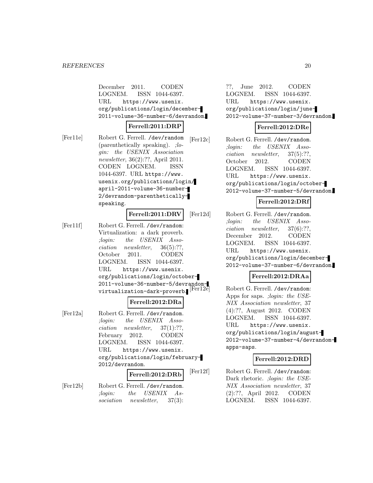December 2011. CODEN LOGNEM. ISSN 1044-6397. URL https://www.usenix. org/publications/login/december-2011-volume-36-number-6/devrandom.

# **Ferrell:2011:DRP**

[Fer11e] Robert G. Ferrell. /dev/random (parenthetically speaking). ;login: the USENIX Association newsletter, 36(2):??, April 2011. CODEN LOGNEM. ISSN 1044-6397. URL https://www. usenix.org/publications/login/ april-2011-volume-36-number-2/devrandom-parentheticallyspeaking.

# **Ferrell:2011:DRV**

[Fer11f] Robert G. Ferrell. /dev/random: Virtualization: a dark proverb. ;login: the USENIX Association newsletter, 36(5):??, October 2011. CODEN LOGNEM. ISSN 1044-6397. URL https://www.usenix. org/publications/login/october-2011-volume-36-number-5/devrandomvirtualization-dark-proverb.

# **Ferrell:2012:DRa**

[Fer12a] Robert G. Ferrell. /dev/random. ;login: the USENIX Association newsletter, 37(1):??, February 2012. CODEN LOGNEM. ISSN 1044-6397. URL https://www.usenix. org/publications/login/february-2012/devrandom.

# **Ferrell:2012:DRb**

[Fer12b] Robert G. Ferrell. /dev/random. ;login: the USENIX Association newsletter, 37(3):

??, June 2012. CODEN LOGNEM. ISSN 1044-6397. URL https://www.usenix. org/publications/login/june-2012-volume-37-number-3/devrandom.

# **Ferrell:2012:DRe**

[Fer12c] Robert G. Ferrell. /dev/random. ;login: the USENIX Association newsletter, 37(5):??, October 2012. CODEN LOGNEM. ISSN 1044-6397. URL https://www.usenix. org/publications/login/october-2012-volume-37-number-5/devrandom.

# **Ferrell:2012:DRf**

[Fer12d] Robert G. Ferrell. /dev/random. ;login: the USENIX Association newsletter, 37(6):??, December 2012. CODEN LOGNEM. ISSN 1044-6397. URL https://www.usenix. org/publications/login/december-2012-volume-37-number-6/devrandom.

# **Ferrell:2012:DRAa**

Robert G. Ferrell. /dev/random: Apps for saps. ;login: the USE-NIX Association newsletter, 37 (4):??, August 2012. CODEN LOGNEM. ISSN 1044-6397. URL https://www.usenix. org/publications/login/august-2012-volume-37-number-4/devrandomapps-saps.

# **Ferrell:2012:DRD**

[Fer12f] Robert G. Ferrell. /dev/random: Dark rhetoric. ; login: the USE-NIX Association newsletter, 37 (2):??, April 2012. CODEN LOGNEM. ISSN 1044-6397.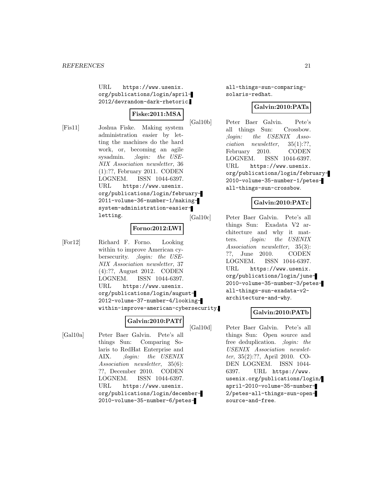URL https://www.usenix. org/publications/login/april-2012/devrandom-dark-rhetoric.

# **Fiske:2011:MSA**

[Fis11] Joshua Fiske. Making system administration easier by letting the machines do the hard work, or, becoming an agile sysadmin. ;login: the USE-NIX Association newsletter, 36 (1):??, February 2011. CODEN LOGNEM. ISSN 1044-6397. URL https://www.usenix.

org/publications/login/february-2011-volume-36-number-1/makingsystem-administration-easierletting.

#### **Forno:2012:LWI**

[For12] Richard F. Forno. Looking within to improve American cybersecurity. ;login: the USE-NIX Association newsletter, 37 (4):??, August 2012. CODEN LOGNEM. ISSN 1044-6397. URL https://www.usenix. org/publications/login/august-2012-volume-37-number-4/lookingwithin-improve-american-cybersecurity.

# **Galvin:2010:PATf**

[Gal10a] Peter Baer Galvin. Pete's all things Sun: Comparing Solaris to RedHat Enterprise and AIX. ;login: the USENIX Association newsletter, 35(6): ??, December 2010. CODEN LOGNEM. ISSN 1044-6397. URL https://www.usenix. org/publications/login/december-2010-volume-35-number-6/petesall-things-sun-comparingsolaris-redhat.

# **Galvin:2010:PATa**

[Gal10b] Peter Baer Galvin. Pete's all things Sun: Crossbow. ;login: the USENIX Association newsletter, 35(1):??, February 2010. CODEN LOGNEM. ISSN 1044-6397. URL https://www.usenix. org/publications/login/february-2010-volume-35-number-1/petesall-things-sun-crossbow.

# **Galvin:2010:PATc**

[Gal10c] Peter Baer Galvin. Pete's all things Sun: Exadata V2 architecture and why it matters. ;login: the USENIX Association newsletter, 35(3): ??, June 2010. CODEN LOGNEM. ISSN 1044-6397. URL https://www.usenix. org/publications/login/june-2010-volume-35-number-3/petesall-things-sun-exadata-v2 architecture-and-why.

# **Galvin:2010:PATb**

[Gal10d] Peter Baer Galvin. Pete's all things Sun: Open source and free deduplication. ;login: the USENIX Association newsletter, 35(2):??, April 2010. CO-DEN LOGNEM. ISSN 1044- 6397. URL https://www. usenix.org/publications/login/ april-2010-volume-35-number-2/petes-all-things-sun-opensource-and-free.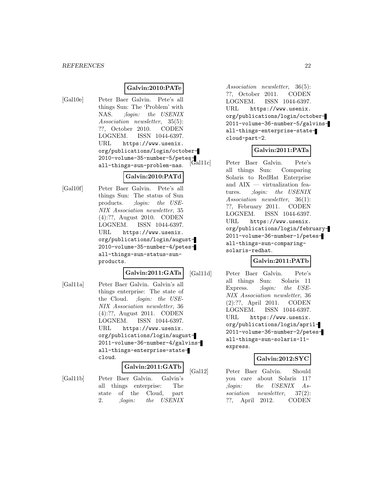## **Galvin:2010:PATe**

[Gal10e] Peter Baer Galvin. Pete's all things Sun: The 'Problem' with NAS. ;login: the USENIX Association newsletter, 35(5): ??, October 2010. CODEN LOGNEM. ISSN 1044-6397. URL https://www.usenix. org/publications/login/october-2010-volume-35-number-5/petesall-things-sun-problem-nas.

# **Galvin:2010:PATd**

[Gal10f] Peter Baer Galvin. Pete's all things Sun: The status of Sun products. ;login: the USE-NIX Association newsletter, 35 (4):??, August 2010. CODEN LOGNEM. ISSN 1044-6397. URL https://www.usenix. org/publications/login/august-2010-volume-35-number-4/petesall-things-sun-status-sunproducts.

# **Galvin:2011:GATa**

[Gal11a] Peter Baer Galvin. Galvin's all things enterprise: The state of the Cloud. ;login: the USE-NIX Association newsletter, 36 (4):??, August 2011. CODEN LOGNEM. ISSN 1044-6397. URL https://www.usenix. org/publications/login/august-2011-volume-36-number-4/galvinsall-things-enterprise-statecloud.

#### **Galvin:2011:GATb**

[Gal11b] Peter Baer Galvin. Galvin's all things enterprise: The state of the Cloud, part 2. ;login: the USENIX

Association newsletter, 36(5): ??, October 2011. CODEN LOGNEM. ISSN 1044-6397. URL https://www.usenix. org/publications/login/october-2011-volume-36-number-5/galvinsall-things-enterprise-statecloud-part-2.

# **Galvin:2011:PATa**

Peter Baer Galvin. Pete's all things Sun: Comparing Solaris to RedHat Enterprise and AIX — virtualization features. ;login: the USENIX Association newsletter, 36(1): ??, February 2011. CODEN LOGNEM. ISSN 1044-6397. URL https://www.usenix. org/publications/login/february-2011-volume-36-number-1/petesall-things-sun-comparingsolaris-redhat.

# **Galvin:2011:PATb**

[Gal11d] Peter Baer Galvin. Pete's all things Sun: Solaris 11 Express. ;login: the USE-NIX Association newsletter, 36 (2):??, April 2011. CODEN LOGNEM. ISSN 1044-6397. URL https://www.usenix. org/publications/login/april-2011-volume-36-number-2/petesall-things-sun-solaris-11 express.

# **Galvin:2012:SYC**

[Gal12] Peter Baer Galvin. Should you care about Solaris 11? ;login: the USENIX Association newsletter, 37(2): ??, April 2012. CODEN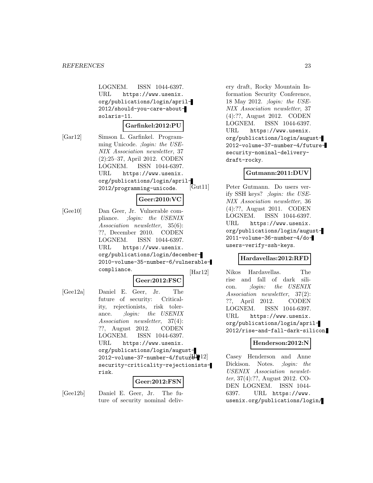LOGNEM. ISSN 1044-6397. URL https://www.usenix. org/publications/login/april-2012/should-you-care-aboutsolaris-11.

#### **Garfinkel:2012:PU**

[Gar12] Simson L. Garfinkel. Programming Unicode. ;login: the USE-NIX Association newsletter, 37 (2):25–37, April 2012. CODEN LOGNEM. ISSN 1044-6397. URL https://www.usenix. org/publications/login/april-2012/programming-unicode.

# **Geer:2010:VC**

[Gee10] Dan Geer, Jr. Vulnerable compliance. ;login: the USENIX Association newsletter, 35(6): ??, December 2010. CODEN LOGNEM. ISSN 1044-6397. URL https://www.usenix. org/publications/login/december-2010-volume-35-number-6/vulnerablecompliance.

# **Geer:2012:FSC**

[Gee12a] Daniel E. Geer, Jr. The future of security: Criticality, rejectionists, risk tolerance. *;login:* the USENIX Association newsletter, 37(4): ??, August 2012. CODEN LOGNEM. ISSN 1044-6397. URL https://www.usenix. org/publications/login/august- $2012$ -volume-37-number-4/futur $\Xi$ security-criticality-rejectionistsrisk.

#### **Geer:2012:FSN**

[Gee12b] Daniel E. Geer, Jr. The future of security nominal deliv-

ery draft, Rocky Mountain Information Security Conference, 18 May 2012. ;login: the USE-NIX Association newsletter, 37 (4):??, August 2012. CODEN LOGNEM. ISSN 1044-6397. URL https://www.usenix. org/publications/login/august-2012-volume-37-number-4/futuresecurity-nominal-deliverydraft-rocky.

#### **Gutmann:2011:DUV**

Peter Gutmann. Do users verify SSH keys? ;login: the USE-NIX Association newsletter, 36 (4):??, August 2011. CODEN LOGNEM. ISSN 1044-6397. URL https://www.usenix. org/publications/login/august-2011-volume-36-number-4/dousers-verify-ssh-keys.

#### **Hardavellas:2012:RFD**

[Har12] Nikos Hardavellas. The rise and fall of dark silicon. ;login: the USENIX Association newsletter, 37(2): ??, April 2012. CODEN LOGNEM. ISSN 1044-6397. URL https://www.usenix. org/publications/login/april-2012/rise-and-fall-dark-silicon.

#### **Henderson:2012:N**

Casey Henderson and Anne Dickison. Notes. *;login: the* USENIX Association newsletter, 37(4):??, August 2012. CO-DEN LOGNEM. ISSN 1044- 6397. URL https://www. usenix.org/publications/login/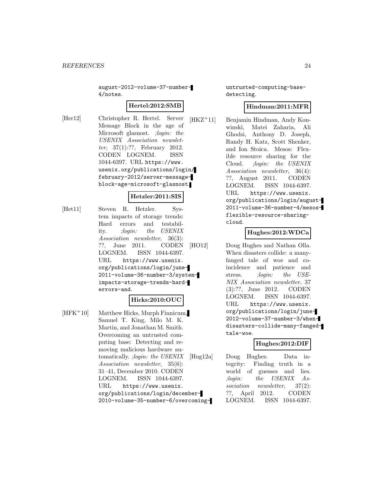august-2012-volume-37-number-4/notes.

# **Hertel:2012:SMB**

[Her12] Christopher R. Hertel. Server Message Block in the age of Microsoft glasnost. ;login: the USENIX Association newsletter, 37(1):??, February 2012. CODEN LOGNEM. ISSN 1044-6397. URL https://www. usenix.org/publications/login/ february-2012/server-messageblock-age-microsoft-glasnost.

# **Hetzler:2011:SIS**

[Het11] Steven R. Hetzler. System impacts of storage trends: Hard errors and testability. ;login: the USENIX Association newsletter, 36(3): ??, June 2011. CODEN LOGNEM. ISSN 1044-6397. URL https://www.usenix. org/publications/login/june-2011-volume-36-number-3/systemimpacts-storage-trends-harderrors-and.

# **Hicks:2010:OUC**

[HFK<sup>+</sup>10] Matthew Hicks, Murph Finnicum, Samuel T. King, Milo M. K. Martin, and Jonathan M. Smith. Overcoming an untrusted computing base: Detecting and removing malicious hardware automatically. ;login: the USENIX Association newsletter, 35(6): 31–41, December 2010. CODEN LOGNEM. ISSN 1044-6397. URL https://www.usenix. org/publications/login/december-2010-volume-35-number-6/overcominguntrusted-computing-basedetecting.

# **Hindman:2011:MFR**

[HKZ<sup>+</sup>11] Benjamin Hindman, Andy Konwinski, Matei Zaharia, Ali Ghodsi, Anthony D. Joseph, Randy H. Katz, Scott Shenker, and Ion Stoica. Mesos: Flexible resource sharing for the Cloud. ;login: the USENIX Association newsletter, 36(4): ??, August 2011. CODEN LOGNEM. ISSN 1044-6397. URL https://www.usenix. org/publications/login/august-2011-volume-36-number-4/mesosflexible-resource-sharingcloud.

# **Hughes:2012:WDCa**

[HO12] Doug Hughes and Nathan Olla. When disasters collide: a manyfanged tale of woe and coincidence and patience and stress. *;login:* the USE-NIX Association newsletter, 37 (3):??, June 2012. CODEN LOGNEM. ISSN 1044-6397. URL https://www.usenix. org/publications/login/june-2012-volume-37-number-3/whendisasters-collide-many-fangedtale-woe.

# **Hughes:2012:DIF**

[Hug12a] Doug Hughes. Data integrity: Finding truth in a world of guesses and lies. ;login: the USENIX Association newsletter, 37(2): ??, April 2012. CODEN LOGNEM. ISSN 1044-6397.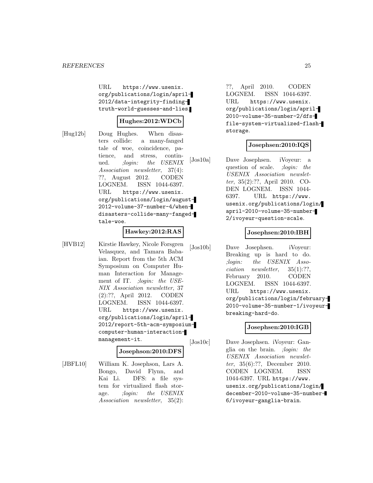URL https://www.usenix. org/publications/login/april-2012/data-integrity-findingtruth-world-guesses-and-lies.

# **Hughes:2012:WDCb**

[Hug12b] Doug Hughes. When disasters collide: a many-fanged tale of woe, coincidence, patience, and stress, continued. ;login: the USENIX Association newsletter, 37(4): ??, August 2012. CODEN LOGNEM. ISSN 1044-6397. URL https://www.usenix. org/publications/login/august-2012-volume-37-number-4/whendisasters-collide-many-fangedtale-woe.

#### **Hawkey:2012:RAS**

[HVB12] Kirstie Hawkey, Nicole Forsgren Velasquez, and Tamara Babaian. Report from the 5th ACM Symposium on Computer Human Interaction for Management of IT. ;login: the USE-NIX Association newsletter, 37 (2):??, April 2012. CODEN LOGNEM. ISSN 1044-6397. URL https://www.usenix. org/publications/login/april-2012/report-5th-acm-symposiumcomputer-human-interactionmanagement-it.

**Josephson:2010:DFS**

[JBFL10] William K. Josephson, Lars A. Bongo, David Flynn, and Kai Li. DFS: a file system for virtualized flash storage. ; *login:* the USENIX Association newsletter, 35(2):

??, April 2010. CODEN LOGNEM. ISSN 1044-6397. URL https://www.usenix. org/publications/login/april-2010-volume-35-number-2/dfsfile-system-virtualized-flashstorage.

#### **Josephsen:2010:IQS**

[Jos10a] Dave Josephsen. iVoyeur: a question of scale. *;login: the* USENIX Association newsletter, 35(2):??, April 2010. CO-DEN LOGNEM. ISSN 1044- 6397. URL https://www. usenix.org/publications/login/ april-2010-volume-35-number-2/ivoyeur-question-scale.

## **Josephsen:2010:IBH**

[Jos10b] Dave Josephsen. iVoyeur: Breaking up is hard to do. ;login: the USENIX Association newsletter, 35(1):??, February 2010. CODEN LOGNEM. ISSN 1044-6397. URL https://www.usenix. org/publications/login/february-2010-volume-35-number-1/ivoyeurbreaking-hard-do.

#### **Josephsen:2010:IGB**

[Jos10c] Dave Josephsen. iVoyeur: Ganglia on the brain. ;login: the USENIX Association newsletter, 35(6):??, December 2010. CODEN LOGNEM. ISSN 1044-6397. URL https://www. usenix.org/publications/login/ december-2010-volume-35-number-6/ivoyeur-ganglia-brain.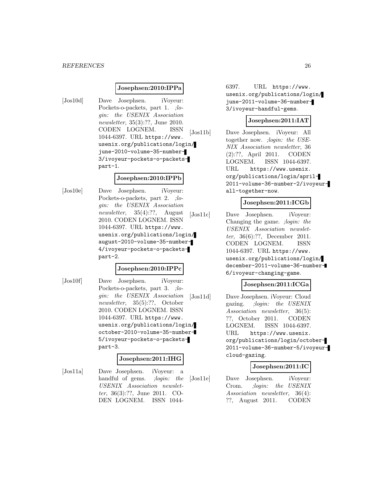#### **Josephsen:2010:IPPa**

[Jos10d] Dave Josephsen. iVoyeur: Pockets-o-packets, part 1. ;login: the USENIX Association newsletter, 35(3):??, June 2010. CODEN LOGNEM. ISSN 1044-6397. URL https://www. usenix.org/publications/login/ june-2010-volume-35-number-3/ivoyeur-pockets-o-packetspart-1.

#### **Josephsen:2010:IPPb**

[Jos10e] Dave Josephsen. iVoyeur: Pockets-o-packets, part 2. ;login: the USENIX Association newsletter, 35(4):??, August 2010. CODEN LOGNEM. ISSN 1044-6397. URL https://www. usenix.org/publications/login/ august-2010-volume-35-number-4/ivoyeur-pockets-o-packetspart-2.

#### **Josephsen:2010:IPPc**

[Jos10f] Dave Josephsen. iVoyeur: Pockets-o-packets, part 3. ; login: the USENIX Association newsletter, 35(5):??, October 2010. CODEN LOGNEM. ISSN 1044-6397. URL https://www. usenix.org/publications/login/ october-2010-volume-35-number-5/ivoyeur-pockets-o-packetspart-3.

#### **Josephsen:2011:IHG**

[Jos11a] Dave Josephsen. iVoyeur: a handful of gems. ; login: the USENIX Association newsletter, 36(3):??, June 2011. CO-DEN LOGNEM. ISSN 1044-

6397. URL https://www. usenix.org/publications/login/ june-2011-volume-36-number-3/ivoyeur-handful-gems.

# **Josephsen:2011:IAT**

[Jos11b] Dave Josephsen. iVoyeur: All together now. ;login: the USE-NIX Association newsletter, 36 (2):??, April 2011. CODEN LOGNEM. ISSN 1044-6397. URL https://www.usenix. org/publications/login/april-2011-volume-36-number-2/ivoyeurall-together-now.

#### **Josephsen:2011:ICGb**

[Jos11c] Dave Josephsen. iVoyeur: Changing the game. ;login: the USENIX Association newsletter, 36(6):??, December 2011. CODEN LOGNEM. ISSN 1044-6397. URL https://www. usenix.org/publications/login/ december-2011-volume-36-number-6/ivoyeur-changing-game.

#### **Josephsen:2011:ICGa**

[Jos11d] Dave Josephsen. iVoyeur: Cloud gazing. ;login: the USENIX Association newsletter, 36(5): ??, October 2011. CODEN LOGNEM. ISSN 1044-6397. URL https://www.usenix. org/publications/login/october-2011-volume-36-number-5/ivoyeurcloud-gazing.

#### **Josephsen:2011:IC**

[Jos11e] Dave Josephsen. iVoyeur: Crom. ;login: the USENIX Association newsletter, 36(4): ??, August 2011. CODEN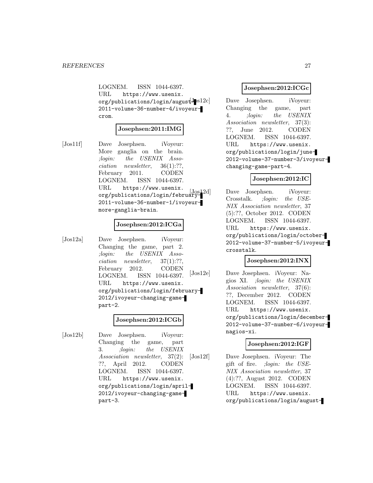LOGNEM. ISSN 1044-6397. URL https://www.usenix.  $org/publications/login/augustJs12c]$ 2011-volume-36-number-4/ivoyeurcrom.

#### **Josephsen:2011:IMG**

[Jos11f] Dave Josephsen. iVoyeur: More ganglia on the brain. ;login: the USENIX Association newsletter, 36(1):??, February 2011. CODEN LOGNEM. ISSN 1044-6397. URL https://www.usenix. org/publications/login/february-2011-volume-36-number-1/ivoyeurmore-ganglia-brain.

#### **Josephsen:2012:ICGa**

[Jos12a] Dave Josephsen. iVoyeur: Changing the game, part 2. ;login: the USENIX Association newsletter, 37(1):??, February 2012. CODEN LOGNEM. ISSN 1044-6397. URL https://www.usenix. org/publications/login/february-2012/ivoyeur-changing-gamepart-2.

#### **Josephsen:2012:ICGb**

[Jos12b] Dave Josephsen. iVoyeur: Changing the game, part 3. ;login: the USENIX Association newsletter, 37(2): ??, April 2012. CODEN LOGNEM. ISSN 1044-6397. URL https://www.usenix. org/publications/login/april-2012/ivoyeur-changing-gamepart-3.

#### **Josephsen:2012:ICGc**

Dave Josephsen. iVoyeur: Changing the game, part 4. ;login: the USENIX Association newsletter, 37(3): ??, June 2012. CODEN LOGNEM. ISSN 1044-6397. URL https://www.usenix. org/publications/login/june-2012-volume-37-number-3/ivoyeurchanging-game-part-4.

# **Josephsen:2012:IC**

Dave Josephsen. iVoyeur: Crosstalk. ;login: the USE-NIX Association newsletter, 37 (5):??, October 2012. CODEN LOGNEM. ISSN 1044-6397. URL https://www.usenix. org/publications/login/october-2012-volume-37-number-5/ivoyeurcrosstalk.

# **Josephsen:2012:INX**

[Jos12e] Dave Josephsen. iVoyeur: Nagios XI. ;login: the USENIX Association newsletter, 37(6): ??, December 2012. CODEN LOGNEM. ISSN 1044-6397. URL https://www.usenix. org/publications/login/december-2012-volume-37-number-6/ivoyeurnagios-xi.

#### **Josephsen:2012:IGF**

[Jos12f] Dave Josephsen. iVoyeur: The gift of fire. ;login: the USE-NIX Association newsletter, 37 (4):??, August 2012. CODEN LOGNEM. ISSN 1044-6397. URL https://www.usenix. org/publications/login/august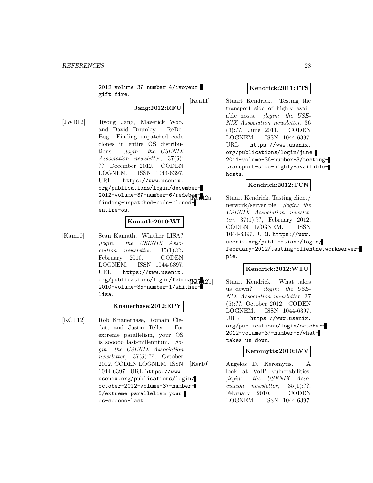2012-volume-37-number-4/ivoyeurgift-fire.

**Jang:2012:RFU**

[JWB12] Jiyong Jang, Maverick Woo, and David Brumley. ReDe-Bug: Finding unpatched code clones in entire OS distributions. ;login: the USENIX Association newsletter, 37(6): ??, December 2012. CODEN LOGNEM. ISSN 1044-6397. URL https://www.usenix. org/publications/login/december- $2012$ -volume-37-number-6/redeb $\mathfrak{g}_{2a}$ finding-unpatched-code-clonesentire-os.

# **Kamath:2010:WL**

[Kam10] Sean Kamath. Whither LISA? ;login: the USENIX Association newsletter, 35(1):??, February 2010. CODEN LOGNEM. ISSN 1044-6397. URL https://www.usenix. org/publications/login/february-12bl 2010-volume-35-number-1/whitherlisa.

#### **Knauerhase:2012:EPY**

[KCT12] Rob Knauerhase, Romain Cledat, and Justin Teller. For extreme parallelism, your OS is sooooo last-millennium. ;login: the USENIX Association newsletter, 37(5):??, October 2012. CODEN LOGNEM. ISSN 1044-6397. URL https://www. usenix.org/publications/login/ october-2012-volume-37-number-5/extreme-parallelism-youros-sooooo-last.

# **Kendrick:2011:TTS**

[Ken11] Stuart Kendrick. Testing the transport side of highly available hosts. ;login: the USE-NIX Association newsletter, 36 (3):??, June 2011. CODEN LOGNEM. ISSN 1044-6397. URL https://www.usenix. org/publications/login/june-2011-volume-36-number-3/testingtransport-side-highly-availablehosts.

# **Kendrick:2012:TCN**

Stuart Kendrick. Tasting client/ network/server pie. ;login: the USENIX Association newsletter, 37(1):??, February 2012. CODEN LOGNEM. ISSN 1044-6397. URL https://www. usenix.org/publications/login/ february-2012/tasting-clientnetworkserverpie.

# **Kendrick:2012:WTU**

Stuart Kendrick. What takes us down? ;login: the USE-NIX Association newsletter, 37 (5):??, October 2012. CODEN LOGNEM. ISSN 1044-6397. URL https://www.usenix. org/publications/login/october-2012-volume-37-number-5/whattakes-us-down.

#### **Keromytis:2010:LVV**

[Ker10] Angelos D. Keromytis. A look at VoIP vulnerabilities. ;login: the USENIX Association newsletter, 35(1):??, February 2010. CODEN LOGNEM. ISSN 1044-6397.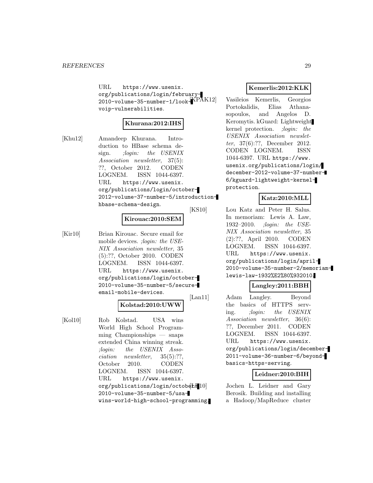URL https://www.usenix. org/publications/login/february-2010-volume-35-number-1/lookvoip-vulnerabilities.

## **Khurana:2012:IHS**

[Khu12] Amandeep Khurana. Introduction to HBase schema design. ;*login:* the USENIX Association newsletter, 37(5): ??, October 2012. CODEN LOGNEM. ISSN 1044-6397. URL https://www.usenix. org/publications/login/october-2012-volume-37-number-5/introductionhbase-schema-design.

#### **Kirouac:2010:SEM**

[Kir10] Brian Kirouac. Secure email for mobile devices. ;login: the USE-NIX Association newsletter, 35 (5):??, October 2010. CODEN LOGNEM. ISSN 1044-6397. URL https://www.usenix. org/publications/login/october-2010-volume-35-number-5/secureemail-mobile-devices.

# **Kolstad:2010:UWW**

[Kol10] Rob Kolstad. USA wins World High School Programming Championships — snaps extended China winning streak. ;login: the USENIX Association newsletter, 35(5):??, October 2010. CODEN LOGNEM. ISSN 1044-6397. URL https://www.usenix.  $org/publications/login/octob4E+10]$ 2010-volume-35-number-5/usawins-world-high-school-programming.

## **Kemerlis:2012:KLK**

Vasileios Kemerlis, Georgios Portokalidis, Elias Athanasopoulos, and Angelos D. Keromytis. kGuard: Lightweight kernel protection. ;login: the USENIX Association newsletter, 37(6):??, December 2012. CODEN LOGNEM. ISSN 1044-6397. URL https://www. usenix.org/publications/login/ december-2012-volume-37-number-6/kguard-lightweight-kernelprotection.

#### **Katz:2010:MLL**

[KS10] Lou Katz and Peter H. Salus. In memoriam: Lewis A. Law, 1932–2010. ;login: the USE-NIX Association newsletter, 35 (2):??, April 2010. CODEN LOGNEM. ISSN 1044-6397. URL https://www.usenix. org/publications/login/april-2010-volume-35-number-2/memoriamlewis-law-1932%E2%80%932010.

# **Langley:2011:BBH**

[Lan11] Adam Langley. Beyond the basics of HTTPS serving. ;login: the USENIX Association newsletter, 36(6): ??, December 2011. CODEN LOGNEM. ISSN 1044-6397. URL https://www.usenix. org/publications/login/december-2011-volume-36-number-6/beyondbasics-https-serving.

#### **Leidner:2010:BIH**

Jochen L. Leidner and Gary Berosik. Building and installing a Hadoop/MapReduce cluster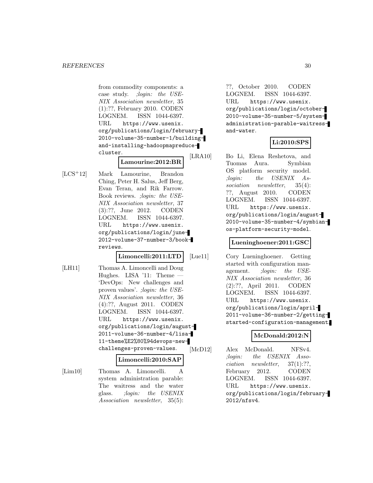from commodity components: a case study. ;login: the USE-NIX Association newsletter, 35 (1):??, February 2010. CODEN LOGNEM. ISSN 1044-6397. URL https://www.usenix. org/publications/login/february-2010-volume-35-number-1/buildingand-installing-hadoopmapreducecluster.

# **Lamourine:2012:BR**

[LCS<sup>+</sup>12] Mark Lamourine, Brandon Ching, Peter H. Salus, Jeff Berg, Evan Teran, and Rik Farrow. Book reviews. ;login: the USE-NIX Association newsletter, 37 (3):??, June 2012. CODEN LOGNEM. ISSN 1044-6397. URL https://www.usenix. org/publications/login/june-2012-volume-37-number-3/bookreviews.

**Limoncelli:2011:LTD**

[LH11] Thomas A. Limoncelli and Doug Hughes. LISA '11: Theme — 'DevOps: New challenges and proven values'. ;login: the USE-NIX Association newsletter, 36 (4):??, August 2011. CODEN LOGNEM. ISSN 1044-6397. URL https://www.usenix. org/publications/login/august-2011-volume-36-number-4/lisa-11-theme%E2%80%94devops-newchallenges-proven-values.

#### **Limoncelli:2010:SAP**

[Lim10] Thomas A. Limoncelli. A system administration parable: The waitress and the water glass. ;login: the USENIX Association newsletter, 35(5):

??, October 2010. CODEN LOGNEM. ISSN 1044-6397. URL https://www.usenix. org/publications/login/october-2010-volume-35-number-5/systemadministration-parable-waitressand-water.

# **Li:2010:SPS**

[LRA10] Bo Li, Elena Reshetova, and Tuomas Aura. Symbian OS platform security model. ;login: the USENIX Association newsletter, 35(4): ??, August 2010. CODEN LOGNEM. ISSN 1044-6397. URL https://www.usenix. org/publications/login/august-2010-volume-35-number-4/symbianos-platform-security-model.

# **Lueninghoener:2011:GSC**

[Lue11] Cory Lueninghoener. Getting started with configuration management. ; login: the USE-NIX Association newsletter, 36 (2):??, April 2011. CODEN LOGNEM. ISSN 1044-6397. URL https://www.usenix. org/publications/login/april-2011-volume-36-number-2/gettingstarted-configuration-management.

# **McDonald:2012:N**

[McD12] Alex McDonald. NFSv4. ;login: the USENIX Association newsletter, 37(1):??, February 2012. CODEN LOGNEM. ISSN 1044-6397. URL https://www.usenix. org/publications/login/february-2012/nfsv4.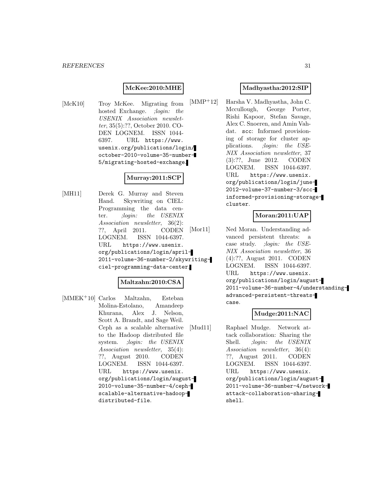#### **McKee:2010:MHE**

[McK10] Troy McKee. Migrating from hosted Exchange. *;login: the* USENIX Association newsletter, 35(5):??, October 2010. CO-DEN LOGNEM. ISSN 1044- 6397. URL https://www. usenix.org/publications/login/ october-2010-volume-35-number-5/migrating-hosted-exchange.

# **Murray:2011:SCP**

[MH11] Derek G. Murray and Steven Hand. Skywriting on CIEL: Programming the data center. ;login: the USENIX Association newsletter, 36(2): ??, April 2011. CODEN LOGNEM. ISSN 1044-6397. URL https://www.usenix. org/publications/login/april-2011-volume-36-number-2/skywritingciel-programming-data-center.

# **Maltzahn:2010:CSA**

[MMEK<sup>+</sup>10] Carlos Maltzahn, Esteban Molina-Estolano, Amandeep Khurana, Alex J. Nelson, Scott A. Brandt, and Sage Weil. Ceph as a scalable alternative to the Hadoop distributed file system. ;login: the USENIX Association newsletter, 35(4): ??, August 2010. CODEN LOGNEM. ISSN 1044-6397. URL https://www.usenix. org/publications/login/august-2010-volume-35-number-4/cephscalable-alternative-hadoopdistributed-file.

#### **Madhyastha:2012:SIP**

[MMP<sup>+</sup>12] Harsha V. Madhyastha, John C. Mccullough, George Porter, Rishi Kapoor, Stefan Savage, Alex C. Snoeren, and Amin Vahdat. scc: Informed provisioning of storage for cluster applications. ;login: the USE-NIX Association newsletter, 37 (3):??, June 2012. CODEN LOGNEM. ISSN 1044-6397. URL https://www.usenix. org/publications/login/june-2012-volume-37-number-3/sccinformed-provisioning-storagecluster.

#### **Moran:2011:UAP**

[Mor11] Ned Moran. Understanding advanced persistent threats: a case study. ;login: the USE-NIX Association newsletter, 36 (4):??, August 2011. CODEN LOGNEM. ISSN 1044-6397. URL https://www.usenix. org/publications/login/august-2011-volume-36-number-4/understandingadvanced-persistent-threatscase.

#### **Mudge:2011:NAC**

[Mud11] Raphael Mudge. Network attack collaboration: Sharing the Shell. ;*login:* the USENIX Association newsletter, 36(4): ??, August 2011. CODEN LOGNEM. ISSN 1044-6397. URL https://www.usenix. org/publications/login/august-2011-volume-36-number-4/networkattack-collaboration-sharingshell.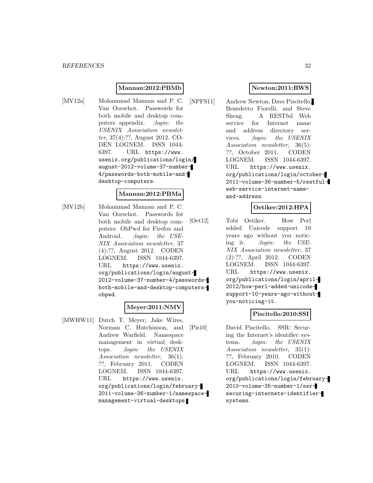#### **Mannan:2012:PBMb**

[MV12a] Mohammad Mannan and P. C. Van Oorschot. Passwords for both mobile and desktop computers appendix. ; login: the USENIX Association newsletter, 37(4):??, August 2012. CO-DEN LOGNEM. ISSN 1044- 6397. URL https://www. usenix.org/publications/login/ august-2012-volume-37-number-4/passwords-both-mobile-anddesktop-computers.

#### **Mannan:2012:PBMa**

[MV12b] Mohammad Mannan and P. C. Van Oorschot. Passwords for both mobile and desktop computers: ObPwd for Firefox and Android. *;login: the USE-*NIX Association newsletter, 37 (4):??, August 2012. CODEN LOGNEM. ISSN 1044-6397. URL https://www.usenix. org/publications/login/august-2012-volume-37-number-4/passwordsboth-mobile-and-desktop-computersobpwd.

# **Meyer:2011:NMV**

[MWHW11] Dutch T. Meyer, Jake Wires, Norman C. Hutchinson, and Andrew Warfield. Namespace management in virtual desktops. ;login: the USENIX Association newsletter, 36(1): ??, February 2011. CODEN LOGNEM. ISSN 1044-6397. URL https://www.usenix. org/publications/login/february-2011-volume-36-number-1/namespacemanagement-virtual-desktops.

## **Newton:2011:RWS**

[NPFS11] Andrew Newton, Dave Piscitello, Benedetto Fiorelli, and Steve Sheng. A RESTful Web service for Internet name and address directory services. ;login: the USENIX Association newsletter, 36(5): ??, October 2011. CODEN LOGNEM. ISSN 1044-6397. URL https://www.usenix. org/publications/login/october-2011-volume-36-number-5/restfulweb-service-internet-nameand-address.

## **Oetiker:2012:HPA**

[Oet12] Tobi Oetiker. How Perl added Unicode support 10 years ago without you noticing it. ;login: the USE-NIX Association newsletter, 37 (2):??, April 2012. CODEN LOGNEM. ISSN 1044-6397. URL https://www.usenix. org/publications/login/april-2012/how-perl-added-unicodesupport-10-years-ago-withoutyou-noticing-it.

# **Piscitello:2010:SSI**

[Pis10] David Piscitello. SSR: Securing the Internet's identifier systems. ;login: the USENIX Association newsletter, 35(1): ??, February 2010. CODEN LOGNEM. ISSN 1044-6397. URL https://www.usenix. org/publications/login/february-2010-volume-35-number-1/ssrsecuring-internets-identifiersystems.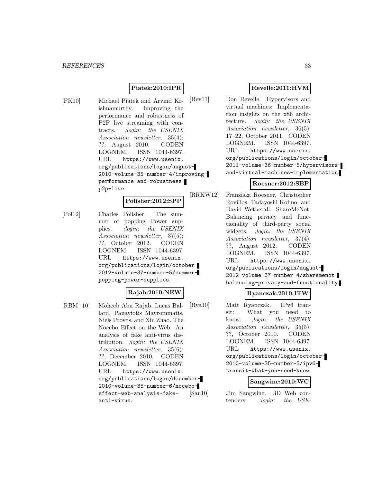# **Piatek:2010:IPR**

[PK10] Michael Piatek and Arvind Krishnamurthy. Improving the performance and robustness of P2P live streaming with contracts. ;login: the USENIX Association newsletter, 35(4): ??, August 2010. CODEN LOGNEM. ISSN 1044-6397. URL https://www.usenix. org/publications/login/august-2010-volume-35-number-4/improvingperformance-and-robustnessp2p-live.

#### **Polisher:2012:SPP**

[Pol12] Charles Polisher. The summer of popping Power supplies. ;login: the USENIX Association newsletter, 37(5): ??, October 2012. CODEN LOGNEM. ISSN 1044-6397. URL https://www.usenix. org/publications/login/october-2012-volume-37-number-5/summerpopping-power-supplies.

# **Rajab:2010:NEW**

[RBM<sup>+</sup>10] Moheeb Abu Rajab, Lucas Ballard, Panayiotis Mavrommatis, Niels Provos, and Xin Zhao. The Nocebo Effect on the Web: An analysis of fake anti-virus distribution. ;login: the USENIX Association newsletter, 35(6): ??, December 2010. CODEN LOGNEM. ISSN 1044-6397. URL https://www.usenix. org/publications/login/december-2010-volume-35-number-6/noceboeffect-web-analysis-fakeanti-virus.

# **Revelle:2011:HVM**

[Rev11] Don Revelle. Hypervisors and virtual machines: Implementation insights on the x86 architecture. ;login: the USENIX Association newsletter, 36(5): 17–22, October 2011. CODEN LOGNEM. ISSN 1044-6397. URL https://www.usenix. org/publications/login/october-2011-volume-36-number-5/hypervisorsand-virtual-machines-implementation.

#### **Roesner:2012:SBP**

[RRKW12] Franziska Roesner, Christopher Rovillos, Tadayoshi Kohno, and David Wetherall. ShareMeNot: Balancing privacy and functionality of third-party social widgets. ; login: the USENIX Association newsletter, 37(4): ??, August 2012. CODEN LOGNEM. ISSN 1044-6397. URL https://www.usenix. org/publications/login/august-2012-volume-37-number-4/sharemenotbalancing-privacy-and-functionality.

#### **Ryanczak:2010:ITW**

[Rya10] Matt Ryanczak. IPv6 transit: What you need to know. ;login: the USENIX Association newsletter, 35(5): ??, October 2010. CODEN LOGNEM. ISSN 1044-6397. URL https://www.usenix. org/publications/login/october-2010-volume-35-number-5/ipv6 transit-what-you-need-know.

#### **Sangwine:2010:WC**

[San10] Jim Sangwine. 3D Web contenders. ;login: the USE-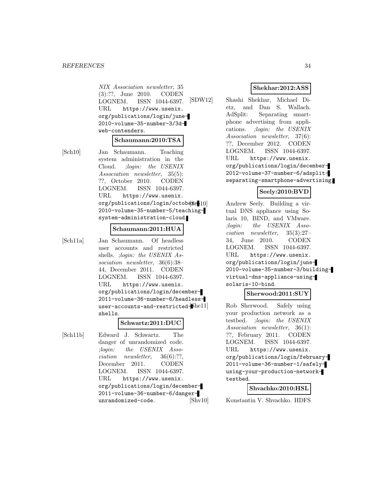NIX Association newsletter, 35 (3):??, June 2010. CODEN LOGNEM. ISSN 1044-6397. URL https://www.usenix. org/publications/login/june-2010-volume-35-number-3/3dweb-contenders.

#### **Schaumann:2010:TSA**

[Sch10] Jan Schaumann. Teaching system administration in the Cloud. ;login: the USENIX Association newsletter, 35(5): ??, October 2010. CODEN LOGNEM. ISSN 1044-6397. URL https://www.usenix.  $org/publications/login/octob4g<sub>ce</sub>10]$ 2010-volume-35-number-5/teachingsystem-administration-cloud.

#### **Schaumann:2011:HUA**

[Sch11a] Jan Schaumann. Of headless user accounts and restricted shells. ;login: the USENIX Association newsletter, 36(6):38– 44, December 2011. CODEN LOGNEM. ISSN 1044-6397. URL https://www.usenix. org/publications/login/december-2011-volume-36-number-6/headlessuser-accounts-and-restricted-bhell shells.

# **Schwartz:2011:DUC**

[Sch11b] Edward J. Schwartz. The danger of unrandomized code. ;login: the USENIX Association newsletter, 36(6):??, December 2011. CODEN LOGNEM. ISSN 1044-6397. URL https://www.usenix. org/publications/login/december-2011-volume-36-number-6/dangerunrandomized-code.

# **Shekhar:2012:ASS**

[SDW12] Shashi Shekhar, Michael Dietz, and Dan S. Wallach. AdSplit: Separating smartphone advertising from applications. ;login: the USENIX Association newsletter, 37(6): ??, December 2012. CODEN LOGNEM. ISSN 1044-6397. URL https://www.usenix. org/publications/login/december-2012-volume-37-number-6/adsplitseparating-smartphone-advertising.

# **Seely:2010:BVD**

Andrew Seely. Building a virtual DNS appliance using Solaris 10, BIND, and VMware. ;login: the USENIX Association newsletter, 35(3):27– 34, June 2010. CODEN LOGNEM. ISSN 1044-6397. URL https://www.usenix. org/publications/login/june-2010-volume-35-number-3/buildingvirtual-dns-appliance-usingsolaris-10-bind.

# **Sherwood:2011:SUY**

Rob Sherwood. Safely using your production network as a testbed. ;login: the USENIX Association newsletter, 36(1): ??, February 2011. CODEN LOGNEM. ISSN 1044-6397. URL https://www.usenix. org/publications/login/february-2011-volume-36-number-1/safelyusing-your-production-networktestbed.

#### **Shvachko:2010:HSL**

[Shv10] Konstantin V. Shvachko. HDFS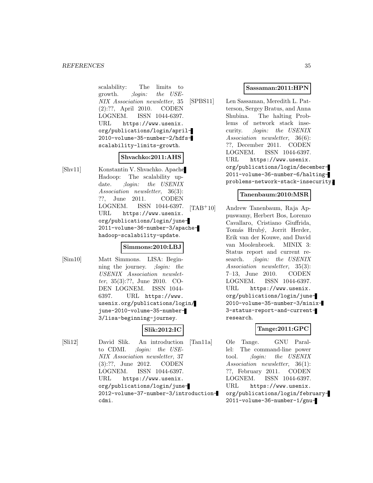scalability: The limits to growth. ;login: the USE-NIX Association newsletter, 35 (2):??, April 2010. CODEN LOGNEM. ISSN 1044-6397. URL https://www.usenix. org/publications/login/april-2010-volume-35-number-2/hdfsscalability-limits-growth.

# **Shvachko:2011:AHS**

[Shv11] Konstantin V. Shvachko. Apache Hadoop: The scalability update. ; *login:* the USENIX Association newsletter, 36(3): ??, June 2011. CODEN LOGNEM. ISSN 1044-6397. URL https://www.usenix. org/publications/login/june-2011-volume-36-number-3/apachehadoop-scalability-update.

#### **Simmons:2010:LBJ**

[Sim10] Matt Simmons. LISA: Beginning the journey. ;login: the USENIX Association newsletter, 35(3):??, June 2010. CO-DEN LOGNEM. ISSN 1044- 6397. URL https://www. usenix.org/publications/login/ june-2010-volume-35-number-3/lisa-beginning-journey.

# **Slik:2012:IC**

[Sli12] David Slik. An introduction to CDMI. ;login: the USE-NIX Association newsletter, 37 (3):??, June 2012. CODEN LOGNEM. ISSN 1044-6397. URL https://www.usenix. org/publications/login/june-2012-volume-37-number-3/introductioncdmi.

#### **Sassaman:2011:HPN**

[SPBS11] Len Sassaman, Meredith L. Patterson, Sergey Bratus, and Anna Shubina. The halting Problems of network stack insecurity. ;login: the USENIX Association newsletter, 36(6): ??, December 2011. CODEN LOGNEM. ISSN 1044-6397. URL https://www.usenix. org/publications/login/december-2011-volume-36-number-6/haltingproblems-network-stack-insecurity.

#### **Tanenbaum:2010:MSR**

[TAB<sup>+</sup>10] Andrew Tanenbaum, Raja Appuswamy, Herbert Bos, Lorenzo Cavallaro, Cristiano Giuffrida, Tomás Hrubý, Jorrit Herder, Erik van der Kouwe, and David van Moolenbroek. MINIX 3: Status report and current research. ;*login:* the USENIX Association newsletter, 35(3): 7–13, June 2010. CODEN LOGNEM. ISSN 1044-6397. URL https://www.usenix. org/publications/login/june-2010-volume-35-number-3/minix-3-status-report-and-currentresearch.

# **Tange:2011:GPC**

[Tan11a] Ole Tange. GNU Parallel: The command-line power tool. ;login: the USENIX Association newsletter, 36(1): ??, February 2011. CODEN LOGNEM. ISSN 1044-6397. URL https://www.usenix. org/publications/login/february-2011-volume-36-number-1/gnu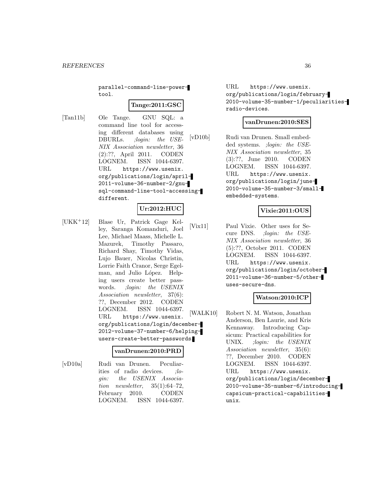parallel-command-line-powertool.

# **Tange:2011:GSC**

[Tan11b] Ole Tange. GNU SQL: a command line tool for accessing different databases using DBURLs. ;login: the USE-NIX Association newsletter, 36 (2):??, April 2011. CODEN LOGNEM. ISSN 1044-6397. URL https://www.usenix. org/publications/login/april-2011-volume-36-number-2/gnusql-command-line-tool-accessingdifferent.

# **Ur:2012:HUC**

[UKK<sup>+</sup>12] Blase Ur, Patrick Gage Kelley, Saranga Komanduri, Joel Lee, Michael Maass, Michelle L. Mazurek, Timothy Passaro, Richard Shay, Timothy Vidas, Lujo Bauer, Nicolas Christin, Lorrie Faith Cranor, Serge Egelman, and Julio López. Helping users create better passwords. ;login: the USENIX Association newsletter, 37(6): ??, December 2012. CODEN LOGNEM. ISSN 1044-6397. URL https://www.usenix. org/publications/login/december-2012-volume-37-number-6/helpingusers-create-better-passwords.

#### **vanDrunen:2010:PRD**

[vD10a] Rudi van Drunen. Peculiarities of radio devices. ;login: the USENIX Association newsletter,  $35(1):64-72$ , February 2010. CODEN LOGNEM. ISSN 1044-6397.

URL https://www.usenix. org/publications/login/february-2010-volume-35-number-1/peculiaritiesradio-devices.

# **vanDrunen:2010:SES**

[vD10b] Rudi van Drunen. Small embedded systems. ; login: the USE-NIX Association newsletter, 35 (3):??, June 2010. CODEN LOGNEM. ISSN 1044-6397. URL https://www.usenix. org/publications/login/june-2010-volume-35-number-3/smallembedded-systems.

# **Vixie:2011:OUS**

[Vix11] Paul Vixie. Other uses for Secure DNS. ;login: the USE-NIX Association newsletter, 36 (5):??, October 2011. CODEN LOGNEM. ISSN 1044-6397. URL https://www.usenix. org/publications/login/october-2011-volume-36-number-5/otheruses-secure-dns.

# **Watson:2010:ICP**

[WALK10] Robert N. M. Watson, Jonathan Anderson, Ben Laurie, and Kris Kennaway. Introducing Capsicum: Practical capabilities for UNIX. ;login: the USENIX Association newsletter, 35(6): ??, December 2010. CODEN LOGNEM. ISSN 1044-6397. URL https://www.usenix. org/publications/login/december-2010-volume-35-number-6/introducingcapsicum-practical-capabilitiesunix.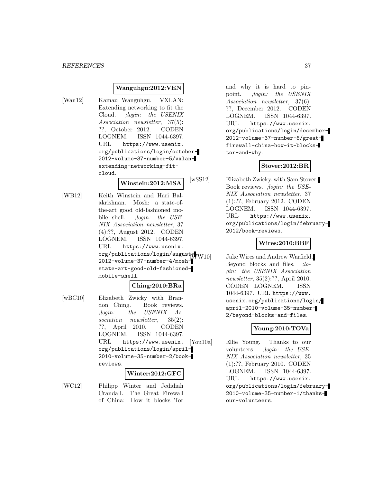#### **Wanguhgu:2012:VEN**

[Wan12] Kamau Wanguhgu. VXLAN: Extending networking to fit the Cloud. ;login: the USENIX Association newsletter, 37(5): ??, October 2012. CODEN LOGNEM. ISSN 1044-6397. URL https://www.usenix. org/publications/login/october-2012-volume-37-number-5/vxlanextending-networking-fitcloud.

#### **Winstein:2012:MSA**

[WB12] Keith Winstein and Hari Balakrishnan. Mosh: a state-ofthe-art good old-fashioned mobile shell. ;login: the USE-NIX Association newsletter, 37 (4):??, August 2012. CODEN LOGNEM. ISSN 1044-6397. URL https://www.usenix. org/publications/login/august $\frac{1}{2}$ 2012-volume-37-number-4/moshstate-art-good-old-fashionedmobile-shell.

#### **Ching:2010:BRa**

[wBC10] Elizabeth Zwicky with Brandon Ching. Book reviews. ;login: the USENIX Association newsletter, 35(2): ??, April 2010. CODEN LOGNEM. ISSN 1044-6397. URL https://www.usenix. org/publications/login/april-2010-volume-35-number-2/bookreviews.

#### **Winter:2012:GFC**

[WC12] Philipp Winter and Jedidiah Crandall. The Great Firewall of China: How it blocks Tor

and why it is hard to pinpoint. ;login: the USENIX Association newsletter, 37(6): ??, December 2012. CODEN LOGNEM. ISSN 1044-6397. URL https://www.usenix. org/publications/login/december-2012-volume-37-number-6/greatfirewall-china-how-it-blockstor-and-why.

#### **Stover:2012:BR**

[wSS12] Elizabeth Zwicky. with Sam Stover. Book reviews. ;login: the USE-NIX Association newsletter, 37 (1):??, February 2012. CODEN LOGNEM. ISSN 1044-6397. URL https://www.usenix. org/publications/login/february-2012/book-reviews.

#### **Wires:2010:BBF**

Jake Wires and Andrew Warfield. Beyond blocks and files. ; login: the USENIX Association newsletter, 35(2):??, April 2010. CODEN LOGNEM. ISSN 1044-6397. URL https://www. usenix.org/publications/login/ april-2010-volume-35-number-2/beyond-blocks-and-files.

#### **Young:2010:TOVa**

[You10a] Ellie Young. Thanks to our volunteers. ;login: the USE-NIX Association newsletter, 35 (1):??, February 2010. CODEN LOGNEM. ISSN 1044-6397. URL https://www.usenix. org/publications/login/february-2010-volume-35-number-1/thanksour-volunteers.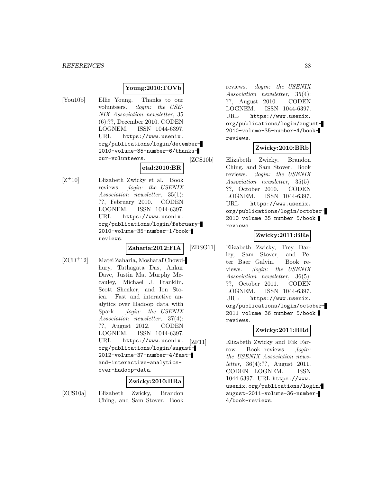#### **Young:2010:TOVb**

[You10b] Ellie Young. Thanks to our volunteers. ;login: the USE-NIX Association newsletter, 35 (6):??, December 2010. CODEN LOGNEM. ISSN 1044-6397. URL https://www.usenix. org/publications/login/december-2010-volume-35-number-6/thanksour-volunteers.

**etal:2010:BR**

 $[Z+10]$  Elizabeth Zwicky et al. Book reviews. ;login: the USENIX Association newsletter, 35(1): ??, February 2010. CODEN LOGNEM. ISSN 1044-6397. URL https://www.usenix. org/publications/login/february-2010-volume-35-number-1/bookreviews.

**Zaharia:2012:FIA**

[ZCD<sup>+</sup>12] Matei Zaharia, Mosharaf Chowdhury, Tathagata Das, Ankur Dave, Justin Ma, Murphy Mccauley, Michael J. Franklin, Scott Shenker, and Ion Stoica. Fast and interactive analytics over Hadoop data with Spark. ;login: the USENIX Association newsletter, 37(4): ??, August 2012. CODEN LOGNEM. ISSN 1044-6397. URL https://www.usenix. org/publications/login/august-2012-volume-37-number-4/fastand-interactive-analyticsover-hadoop-data.

# **Zwicky:2010:BRa**

[ZCS10a] Elizabeth Zwicky, Brandon Ching, and Sam Stover. Book

reviews. ;login: the USENIX Association newsletter, 35(4): ??, August 2010. CODEN LOGNEM. ISSN 1044-6397. URL https://www.usenix. org/publications/login/august-2010-volume-35-number-4/bookreviews.

#### **Zwicky:2010:BRb**

[ZCS10b] Elizabeth Zwicky, Brandon Ching, and Sam Stover. Book reviews. ;login: the USENIX Association newsletter, 35(5): ??, October 2010. CODEN LOGNEM. ISSN 1044-6397. URL https://www.usenix. org/publications/login/october-2010-volume-35-number-5/bookreviews.

### **Zwicky:2011:BRe**

[ZDSG11] Elizabeth Zwicky, Trey Darley, Sam Stover, and Peter Baer Galvin. Book reviews. ;login: the USENIX Association newsletter, 36(5): ??, October 2011. CODEN LOGNEM. ISSN 1044-6397. URL https://www.usenix. org/publications/login/october-2011-volume-36-number-5/bookreviews.

# **Zwicky:2011:BRd**

[ZF11] Elizabeth Zwicky and Rik Farrow. Book reviews. *;login:* the USENIX Association newsletter, 36(4):??, August 2011. CODEN LOGNEM. ISSN 1044-6397. URL https://www. usenix.org/publications/login/ august-2011-volume-36-number-4/book-reviews.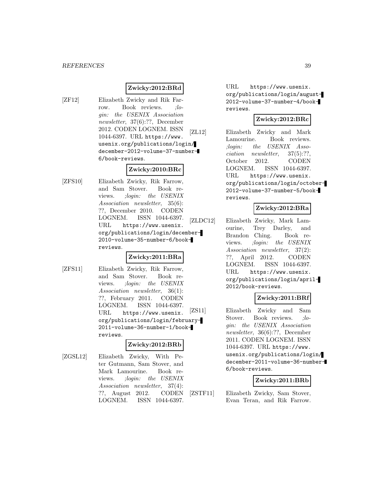# **Zwicky:2012:BRd**

[ZF12] Elizabeth Zwicky and Rik Farrow. Book reviews. *;lo*gin: the USENIX Association newsletter, 37(6):??, December 2012. CODEN LOGNEM. ISSN 1044-6397. URL https://www. usenix.org/publications/login/ december-2012-volume-37-number-6/book-reviews.

# **Zwicky:2010:BRc**

[ZFS10] Elizabeth Zwicky, Rik Farrow, and Sam Stover. Book reviews. ;login: the USENIX Association newsletter, 35(6): ??, December 2010. CODEN LOGNEM. ISSN 1044-6397. URL https://www.usenix. org/publications/login/december-2010-volume-35-number-6/bookreviews.

# **Zwicky:2011:BRa**

[ZFS11] Elizabeth Zwicky, Rik Farrow, and Sam Stover. Book reviews. ;login: the USENIX Association newsletter, 36(1): ??, February 2011. CODEN LOGNEM. ISSN 1044-6397. URL https://www.usenix. org/publications/login/february-2011-volume-36-number-1/bookreviews.

#### **Zwicky:2012:BRb**

[ZGSL12] Elizabeth Zwicky, With Peter Gutmann, Sam Stover, and Mark Lamourine. Book reviews. ;login: the USENIX Association newsletter, 37(4): ??, August 2012. CODEN LOGNEM. ISSN 1044-6397.

URL https://www.usenix. org/publications/login/august-2012-volume-37-number-4/bookreviews.

# **Zwicky:2012:BRc**

[ZL12] Elizabeth Zwicky and Mark Lamourine. Book reviews. ;login: the USENIX Association newsletter, 37(5):??, October 2012. CODEN LOGNEM. ISSN 1044-6397. URL https://www.usenix. org/publications/login/october-2012-volume-37-number-5/bookreviews.

# **Zwicky:2012:BRa**

[ZLDC12] Elizabeth Zwicky, Mark Lamourine, Trey Darley, and Brandon Ching. Book reviews. ;login: the USENIX Association newsletter, 37(2): ??, April 2012. CODEN LOGNEM. ISSN 1044-6397. URL https://www.usenix. org/publications/login/april-2012/book-reviews.

# **Zwicky:2011:BRf**

[ZS11] Elizabeth Zwicky and Sam Stover. Book reviews. *;lo*gin: the USENIX Association newsletter, 36(6):??, December 2011. CODEN LOGNEM. ISSN 1044-6397. URL https://www. usenix.org/publications/login/ december-2011-volume-36-number-6/book-reviews.

# **Zwicky:2011:BRb**

[ZSTF11] Elizabeth Zwicky, Sam Stover, Evan Teran, and Rik Farrow.